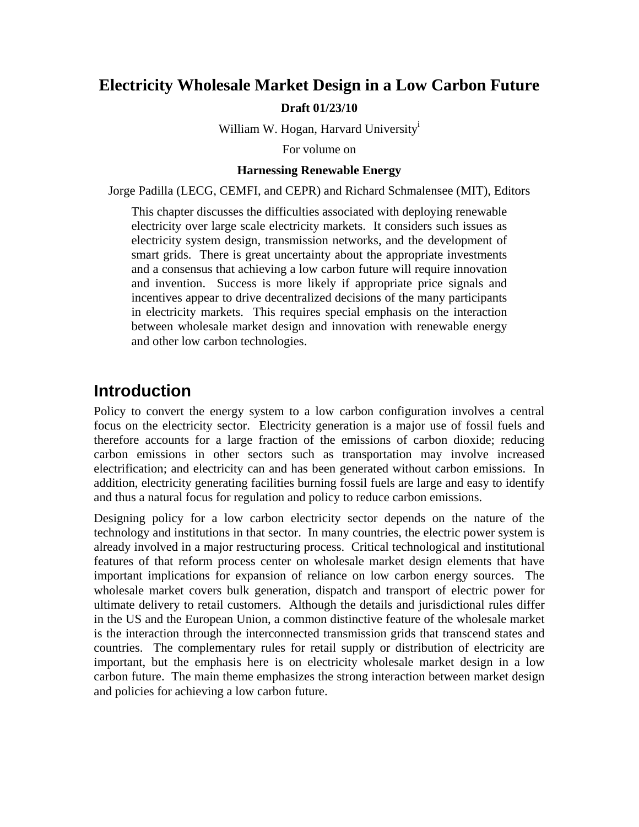# **Electricity Wholesale Market Design in a Low Carbon Future Draft 01/23/10**

William W. Hogan, Harvard University<sup>i</sup>

For volume on

#### **Harnessing Renewable Energy**

Jorge Padilla (LECG, CEMFI, and CEPR) and Richard Schmalensee (MIT), Editors

This chapter discusses the difficulties associated with deploying renewable electricity over large scale electricity markets. It considers such issues as electricity system design, transmission networks, and the development of smart grids. There is great uncertainty about the appropriate investments and a consensus that achieving a low carbon future will require innovation and invention. Success is more likely if appropriate price signals and incentives appear to drive decentralized decisions of the many participants in electricity markets. This requires special emphasis on the interaction between wholesale market design and innovation with renewable energy and other low carbon technologies.

# **Introduction**

Policy to convert the energy system to a low carbon configuration involves a central focus on the electricity sector. Electricity generation is a major use of fossil fuels and therefore accounts for a large fraction of the emissions of carbon dioxide; reducing carbon emissions in other sectors such as transportation may involve increased electrification; and electricity can and has been generated without carbon emissions. In addition, electricity generating facilities burning fossil fuels are large and easy to identify and thus a natural focus for regulation and policy to reduce carbon emissions.

Designing policy for a low carbon electricity sector depends on the nature of the technology and institutions in that sector. In many countries, the electric power system is already involved in a major restructuring process. Critical technological and institutional features of that reform process center on wholesale market design elements that have important implications for expansion of reliance on low carbon energy sources. The wholesale market covers bulk generation, dispatch and transport of electric power for ultimate delivery to retail customers. Although the details and jurisdictional rules differ in the US and the European Union, a common distinctive feature of the wholesale market is the interaction through the interconnected transmission grids that transcend states and countries. The complementary rules for retail supply or distribution of electricity are important, but the emphasis here is on electricity wholesale market design in a low carbon future. The main theme emphasizes the strong interaction between market design and policies for achieving a low carbon future.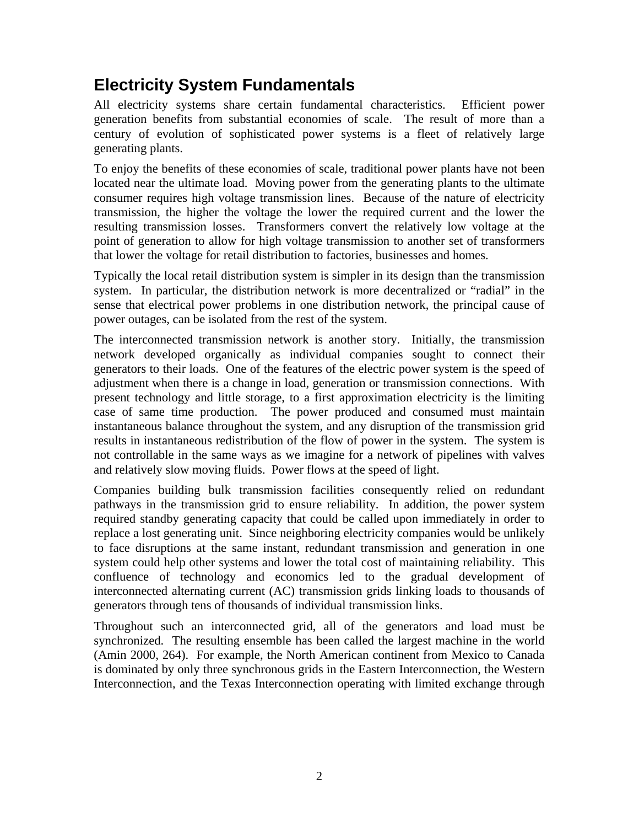# **Electricity System Fundamentals**

All electricity systems share certain fundamental characteristics. Efficient power generation benefits from substantial economies of scale. The result of more than a century of evolution of sophisticated power systems is a fleet of relatively large generating plants.

To enjoy the benefits of these economies of scale, traditional power plants have not been located near the ultimate load. Moving power from the generating plants to the ultimate consumer requires high voltage transmission lines. Because of the nature of electricity transmission, the higher the voltage the lower the required current and the lower the resulting transmission losses. Transformers convert the relatively low voltage at the point of generation to allow for high voltage transmission to another set of transformers that lower the voltage for retail distribution to factories, businesses and homes.

Typically the local retail distribution system is simpler in its design than the transmission system. In particular, the distribution network is more decentralized or "radial" in the sense that electrical power problems in one distribution network, the principal cause of power outages, can be isolated from the rest of the system.

The interconnected transmission network is another story. Initially, the transmission network developed organically as individual companies sought to connect their generators to their loads. One of the features of the electric power system is the speed of adjustment when there is a change in load, generation or transmission connections. With present technology and little storage, to a first approximation electricity is the limiting case of same time production. The power produced and consumed must maintain instantaneous balance throughout the system, and any disruption of the transmission grid results in instantaneous redistribution of the flow of power in the system. The system is not controllable in the same ways as we imagine for a network of pipelines with valves and relatively slow moving fluids. Power flows at the speed of light.

Companies building bulk transmission facilities consequently relied on redundant pathways in the transmission grid to ensure reliability. In addition, the power system required standby generating capacity that could be called upon immediately in order to replace a lost generating unit. Since neighboring electricity companies would be unlikely to face disruptions at the same instant, redundant transmission and generation in one system could help other systems and lower the total cost of maintaining reliability. This confluence of technology and economics led to the gradual development of interconnected alternating current (AC) transmission grids linking loads to thousands of generators through tens of thousands of individual transmission links.

Throughout such an interconnected grid, all of the generators and load must be synchronized. The resulting ensemble has been called the largest machine in the world (Amin 2000, 264). For example, the North American continent from Mexico to Canada is dominated by only three synchronous grids in the Eastern Interconnection, the Western Interconnection, and the Texas Interconnection operating with limited exchange through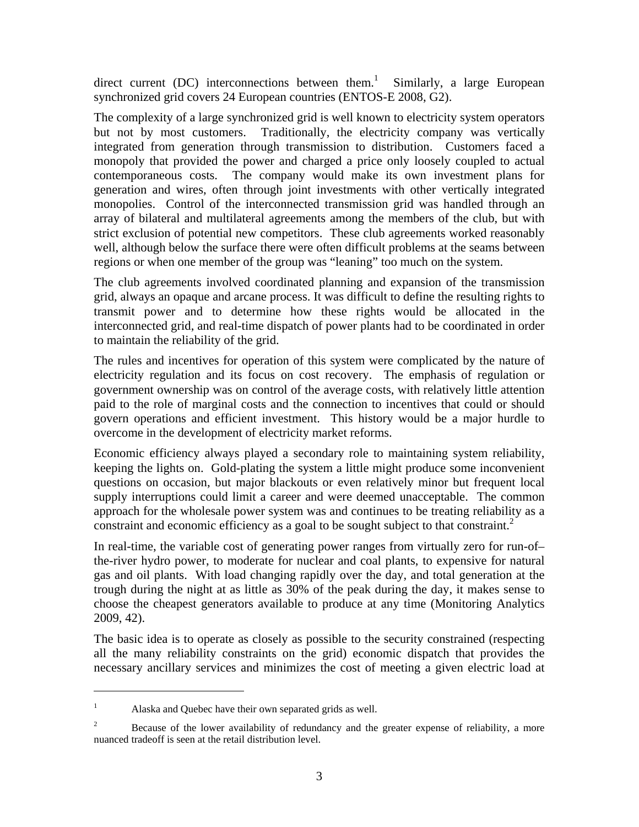direct current  $(DC)$  interconnections between them.<sup>1</sup> Similarly, a large European synchronized grid covers 24 European countries (ENTOS-E 2008, G2).

The complexity of a large synchronized grid is well known to electricity system operators but not by most customers. Traditionally, the electricity company was vertically integrated from generation through transmission to distribution. Customers faced a monopoly that provided the power and charged a price only loosely coupled to actual contemporaneous costs. The company would make its own investment plans for generation and wires, often through joint investments with other vertically integrated monopolies. Control of the interconnected transmission grid was handled through an array of bilateral and multilateral agreements among the members of the club, but with strict exclusion of potential new competitors. These club agreements worked reasonably well, although below the surface there were often difficult problems at the seams between regions or when one member of the group was "leaning" too much on the system.

The club agreements involved coordinated planning and expansion of the transmission grid, always an opaque and arcane process. It was difficult to define the resulting rights to transmit power and to determine how these rights would be allocated in the interconnected grid, and real-time dispatch of power plants had to be coordinated in order to maintain the reliability of the grid.

The rules and incentives for operation of this system were complicated by the nature of electricity regulation and its focus on cost recovery. The emphasis of regulation or government ownership was on control of the average costs, with relatively little attention paid to the role of marginal costs and the connection to incentives that could or should govern operations and efficient investment. This history would be a major hurdle to overcome in the development of electricity market reforms.

Economic efficiency always played a secondary role to maintaining system reliability, keeping the lights on. Gold-plating the system a little might produce some inconvenient questions on occasion, but major blackouts or even relatively minor but frequent local supply interruptions could limit a career and were deemed unacceptable. The common approach for the wholesale power system was and continues to be treating reliability as a constraint and economic efficiency as a goal to be sought subject to that constraint.<sup>2</sup>

In real-time, the variable cost of generating power ranges from virtually zero for run-of– the-river hydro power, to moderate for nuclear and coal plants, to expensive for natural gas and oil plants. With load changing rapidly over the day, and total generation at the trough during the night at as little as 30% of the peak during the day, it makes sense to choose the cheapest generators available to produce at any time (Monitoring Analytics 2009, 42).

The basic idea is to operate as closely as possible to the security constrained (respecting all the many reliability constraints on the grid) economic dispatch that provides the necessary ancillary services and minimizes the cost of meeting a given electric load at

1

<sup>1</sup> Alaska and Quebec have their own separated grids as well.

<sup>2</sup> Because of the lower availability of redundancy and the greater expense of reliability, a more nuanced tradeoff is seen at the retail distribution level.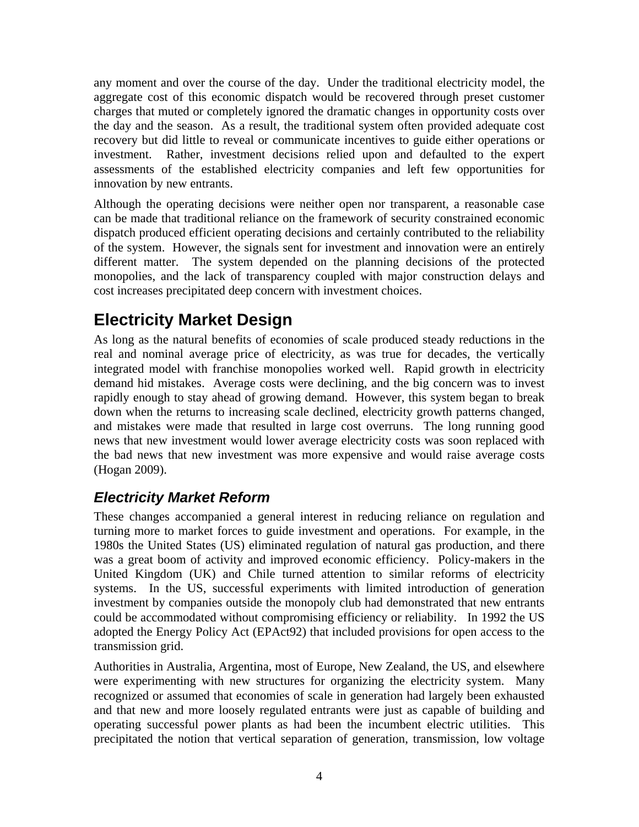any moment and over the course of the day. Under the traditional electricity model, the aggregate cost of this economic dispatch would be recovered through preset customer charges that muted or completely ignored the dramatic changes in opportunity costs over the day and the season. As a result, the traditional system often provided adequate cost recovery but did little to reveal or communicate incentives to guide either operations or investment. Rather, investment decisions relied upon and defaulted to the expert assessments of the established electricity companies and left few opportunities for innovation by new entrants.

Although the operating decisions were neither open nor transparent, a reasonable case can be made that traditional reliance on the framework of security constrained economic dispatch produced efficient operating decisions and certainly contributed to the reliability of the system. However, the signals sent for investment and innovation were an entirely different matter. The system depended on the planning decisions of the protected monopolies, and the lack of transparency coupled with major construction delays and cost increases precipitated deep concern with investment choices.

# **Electricity Market Design**

As long as the natural benefits of economies of scale produced steady reductions in the real and nominal average price of electricity, as was true for decades, the vertically integrated model with franchise monopolies worked well. Rapid growth in electricity demand hid mistakes. Average costs were declining, and the big concern was to invest rapidly enough to stay ahead of growing demand. However, this system began to break down when the returns to increasing scale declined, electricity growth patterns changed, and mistakes were made that resulted in large cost overruns. The long running good news that new investment would lower average electricity costs was soon replaced with the bad news that new investment was more expensive and would raise average costs (Hogan 2009).

# *Electricity Market Reform*

These changes accompanied a general interest in reducing reliance on regulation and turning more to market forces to guide investment and operations. For example, in the 1980s the United States (US) eliminated regulation of natural gas production, and there was a great boom of activity and improved economic efficiency. Policy-makers in the United Kingdom (UK) and Chile turned attention to similar reforms of electricity systems. In the US, successful experiments with limited introduction of generation investment by companies outside the monopoly club had demonstrated that new entrants could be accommodated without compromising efficiency or reliability. In 1992 the US adopted the Energy Policy Act (EPAct92) that included provisions for open access to the transmission grid.

Authorities in Australia, Argentina, most of Europe, New Zealand, the US, and elsewhere were experimenting with new structures for organizing the electricity system. Many recognized or assumed that economies of scale in generation had largely been exhausted and that new and more loosely regulated entrants were just as capable of building and operating successful power plants as had been the incumbent electric utilities. This precipitated the notion that vertical separation of generation, transmission, low voltage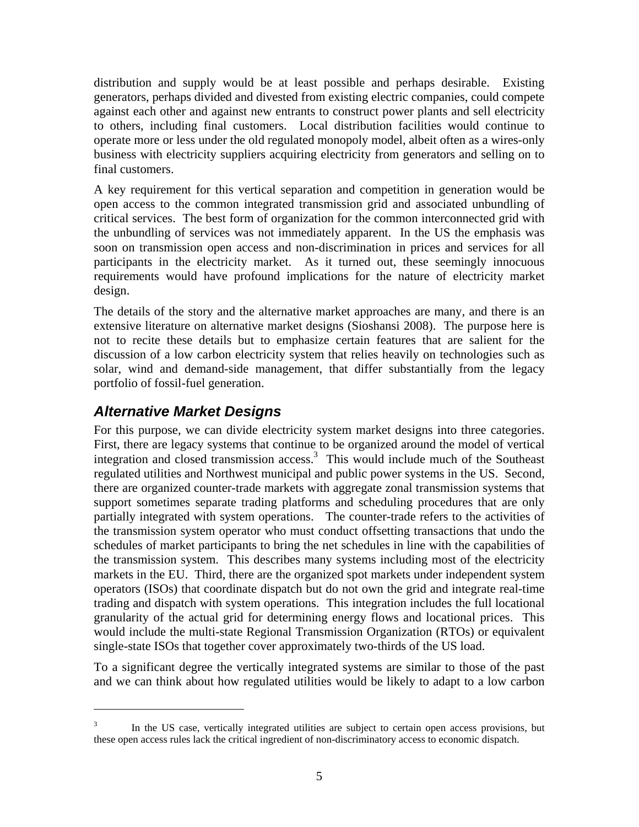distribution and supply would be at least possible and perhaps desirable. Existing generators, perhaps divided and divested from existing electric companies, could compete against each other and against new entrants to construct power plants and sell electricity to others, including final customers. Local distribution facilities would continue to operate more or less under the old regulated monopoly model, albeit often as a wires-only business with electricity suppliers acquiring electricity from generators and selling on to final customers.

A key requirement for this vertical separation and competition in generation would be open access to the common integrated transmission grid and associated unbundling of critical services. The best form of organization for the common interconnected grid with the unbundling of services was not immediately apparent. In the US the emphasis was soon on transmission open access and non-discrimination in prices and services for all participants in the electricity market. As it turned out, these seemingly innocuous requirements would have profound implications for the nature of electricity market design.

The details of the story and the alternative market approaches are many, and there is an extensive literature on alternative market designs (Sioshansi 2008). The purpose here is not to recite these details but to emphasize certain features that are salient for the discussion of a low carbon electricity system that relies heavily on technologies such as solar, wind and demand-side management, that differ substantially from the legacy portfolio of fossil-fuel generation.

## *Alternative Market Designs*

 $\overline{a}$ 

For this purpose, we can divide electricity system market designs into three categories. First, there are legacy systems that continue to be organized around the model of vertical integration and closed transmission access.<sup>3</sup> This would include much of the Southeast regulated utilities and Northwest municipal and public power systems in the US. Second, there are organized counter-trade markets with aggregate zonal transmission systems that support sometimes separate trading platforms and scheduling procedures that are only partially integrated with system operations. The counter-trade refers to the activities of the transmission system operator who must conduct offsetting transactions that undo the schedules of market participants to bring the net schedules in line with the capabilities of the transmission system. This describes many systems including most of the electricity markets in the EU. Third, there are the organized spot markets under independent system operators (ISOs) that coordinate dispatch but do not own the grid and integrate real-time trading and dispatch with system operations. This integration includes the full locational granularity of the actual grid for determining energy flows and locational prices. This would include the multi-state Regional Transmission Organization (RTOs) or equivalent single-state ISOs that together cover approximately two-thirds of the US load.

To a significant degree the vertically integrated systems are similar to those of the past and we can think about how regulated utilities would be likely to adapt to a low carbon

<sup>3</sup> In the US case, vertically integrated utilities are subject to certain open access provisions, but these open access rules lack the critical ingredient of non-discriminatory access to economic dispatch.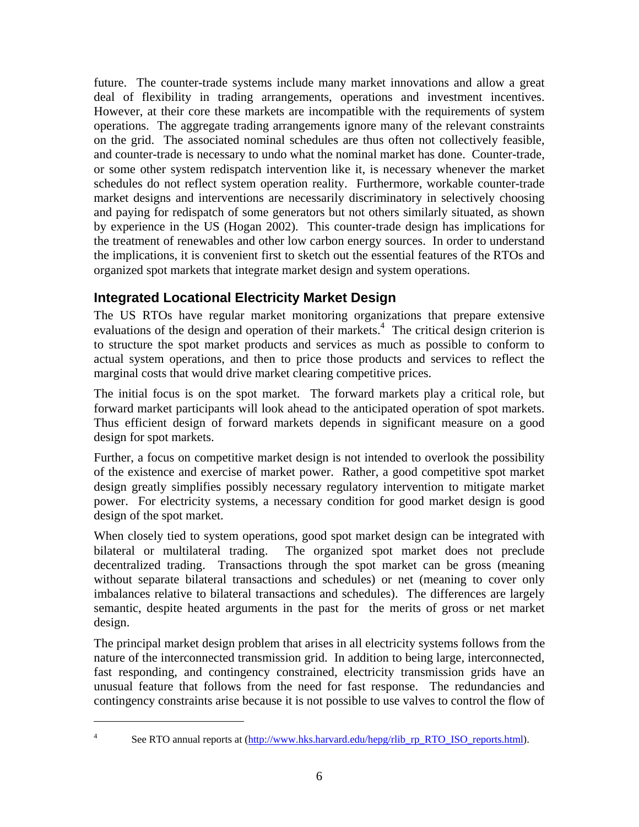future. The counter-trade systems include many market innovations and allow a great deal of flexibility in trading arrangements, operations and investment incentives. However, at their core these markets are incompatible with the requirements of system operations. The aggregate trading arrangements ignore many of the relevant constraints on the grid. The associated nominal schedules are thus often not collectively feasible, and counter-trade is necessary to undo what the nominal market has done. Counter-trade, or some other system redispatch intervention like it, is necessary whenever the market schedules do not reflect system operation reality. Furthermore, workable counter-trade market designs and interventions are necessarily discriminatory in selectively choosing and paying for redispatch of some generators but not others similarly situated, as shown by experience in the US (Hogan 2002). This counter-trade design has implications for the treatment of renewables and other low carbon energy sources. In order to understand the implications, it is convenient first to sketch out the essential features of the RTOs and organized spot markets that integrate market design and system operations.

### **Integrated Locational Electricity Market Design**

The US RTOs have regular market monitoring organizations that prepare extensive evaluations of the design and operation of their markets.<sup>4</sup> The critical design criterion is to structure the spot market products and services as much as possible to conform to actual system operations, and then to price those products and services to reflect the marginal costs that would drive market clearing competitive prices.

The initial focus is on the spot market. The forward markets play a critical role, but forward market participants will look ahead to the anticipated operation of spot markets. Thus efficient design of forward markets depends in significant measure on a good design for spot markets.

Further, a focus on competitive market design is not intended to overlook the possibility of the existence and exercise of market power. Rather, a good competitive spot market design greatly simplifies possibly necessary regulatory intervention to mitigate market power. For electricity systems, a necessary condition for good market design is good design of the spot market.

When closely tied to system operations, good spot market design can be integrated with bilateral or multilateral trading. The organized spot market does not preclude decentralized trading. Transactions through the spot market can be gross (meaning without separate bilateral transactions and schedules) or net (meaning to cover only imbalances relative to bilateral transactions and schedules). The differences are largely semantic, despite heated arguments in the past for the merits of gross or net market design.

The principal market design problem that arises in all electricity systems follows from the nature of the interconnected transmission grid. In addition to being large, interconnected, fast responding, and contingency constrained, electricity transmission grids have an unusual feature that follows from the need for fast response. The redundancies and contingency constraints arise because it is not possible to use valves to control the flow of

 $\overline{a}$ 4

See RTO annual reports at (http://www.hks.harvard.edu/hepg/rlib\_rp\_RTO\_ISO\_reports.html).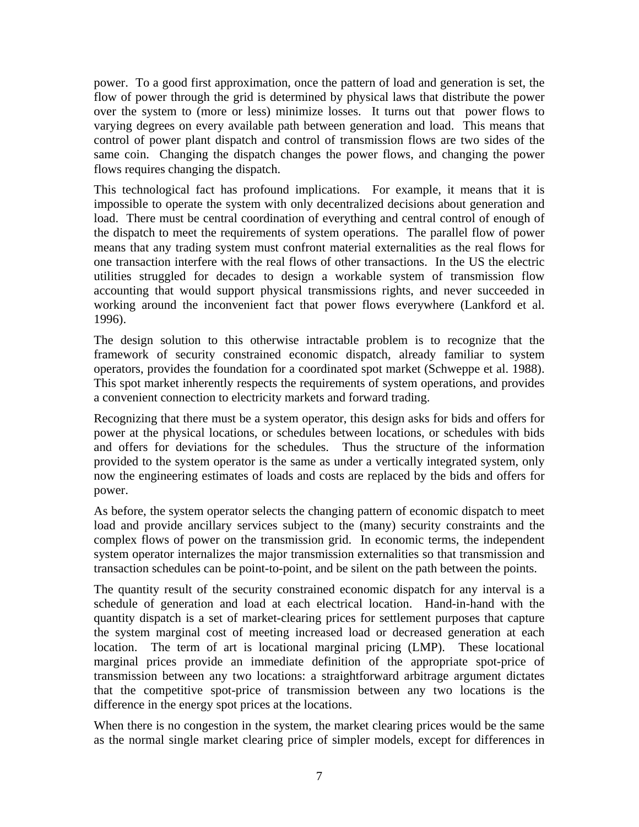power. To a good first approximation, once the pattern of load and generation is set, the flow of power through the grid is determined by physical laws that distribute the power over the system to (more or less) minimize losses. It turns out that power flows to varying degrees on every available path between generation and load. This means that control of power plant dispatch and control of transmission flows are two sides of the same coin. Changing the dispatch changes the power flows, and changing the power flows requires changing the dispatch.

This technological fact has profound implications. For example, it means that it is impossible to operate the system with only decentralized decisions about generation and load. There must be central coordination of everything and central control of enough of the dispatch to meet the requirements of system operations. The parallel flow of power means that any trading system must confront material externalities as the real flows for one transaction interfere with the real flows of other transactions. In the US the electric utilities struggled for decades to design a workable system of transmission flow accounting that would support physical transmissions rights, and never succeeded in working around the inconvenient fact that power flows everywhere (Lankford et al. 1996).

The design solution to this otherwise intractable problem is to recognize that the framework of security constrained economic dispatch, already familiar to system operators, provides the foundation for a coordinated spot market (Schweppe et al. 1988). This spot market inherently respects the requirements of system operations, and provides a convenient connection to electricity markets and forward trading.

Recognizing that there must be a system operator, this design asks for bids and offers for power at the physical locations, or schedules between locations, or schedules with bids and offers for deviations for the schedules. Thus the structure of the information provided to the system operator is the same as under a vertically integrated system, only now the engineering estimates of loads and costs are replaced by the bids and offers for power.

As before, the system operator selects the changing pattern of economic dispatch to meet load and provide ancillary services subject to the (many) security constraints and the complex flows of power on the transmission grid. In economic terms, the independent system operator internalizes the major transmission externalities so that transmission and transaction schedules can be point-to-point, and be silent on the path between the points.

The quantity result of the security constrained economic dispatch for any interval is a schedule of generation and load at each electrical location. Hand-in-hand with the quantity dispatch is a set of market-clearing prices for settlement purposes that capture the system marginal cost of meeting increased load or decreased generation at each location. The term of art is locational marginal pricing (LMP). These locational marginal prices provide an immediate definition of the appropriate spot-price of transmission between any two locations: a straightforward arbitrage argument dictates that the competitive spot-price of transmission between any two locations is the difference in the energy spot prices at the locations.

When there is no congestion in the system, the market clearing prices would be the same as the normal single market clearing price of simpler models, except for differences in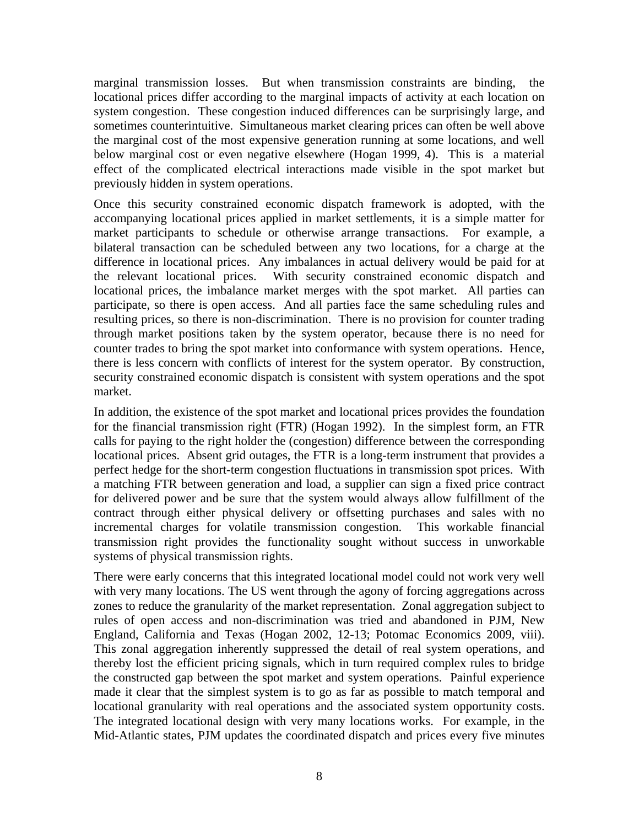marginal transmission losses. But when transmission constraints are binding, locational prices differ according to the marginal impacts of activity at each location on system congestion. These congestion induced differences can be surprisingly large, and sometimes counterintuitive. Simultaneous market clearing prices can often be well above the marginal cost of the most expensive generation running at some locations, and well below marginal cost or even negative elsewhere (Hogan 1999, 4). This is a material effect of the complicated electrical interactions made visible in the spot market but previously hidden in system operations.

Once this security constrained economic dispatch framework is adopted, with the accompanying locational prices applied in market settlements, it is a simple matter for market participants to schedule or otherwise arrange transactions. For example, a bilateral transaction can be scheduled between any two locations, for a charge at the difference in locational prices. Any imbalances in actual delivery would be paid for at the relevant locational prices. With security constrained economic dispatch and locational prices, the imbalance market merges with the spot market. All parties can participate, so there is open access. And all parties face the same scheduling rules and resulting prices, so there is non-discrimination. There is no provision for counter trading through market positions taken by the system operator, because there is no need for counter trades to bring the spot market into conformance with system operations. Hence, there is less concern with conflicts of interest for the system operator. By construction, security constrained economic dispatch is consistent with system operations and the spot market.

In addition, the existence of the spot market and locational prices provides the foundation for the financial transmission right (FTR) (Hogan 1992). In the simplest form, an FTR calls for paying to the right holder the (congestion) difference between the corresponding locational prices. Absent grid outages, the FTR is a long-term instrument that provides a perfect hedge for the short-term congestion fluctuations in transmission spot prices. With a matching FTR between generation and load, a supplier can sign a fixed price contract for delivered power and be sure that the system would always allow fulfillment of the contract through either physical delivery or offsetting purchases and sales with no incremental charges for volatile transmission congestion. This workable financial transmission right provides the functionality sought without success in unworkable systems of physical transmission rights.

There were early concerns that this integrated locational model could not work very well with very many locations. The US went through the agony of forcing aggregations across zones to reduce the granularity of the market representation. Zonal aggregation subject to rules of open access and non-discrimination was tried and abandoned in PJM, New England, California and Texas (Hogan 2002, 12-13; Potomac Economics 2009, viii). This zonal aggregation inherently suppressed the detail of real system operations, and thereby lost the efficient pricing signals, which in turn required complex rules to bridge the constructed gap between the spot market and system operations. Painful experience made it clear that the simplest system is to go as far as possible to match temporal and locational granularity with real operations and the associated system opportunity costs. The integrated locational design with very many locations works. For example, in the Mid-Atlantic states, PJM updates the coordinated dispatch and prices every five minutes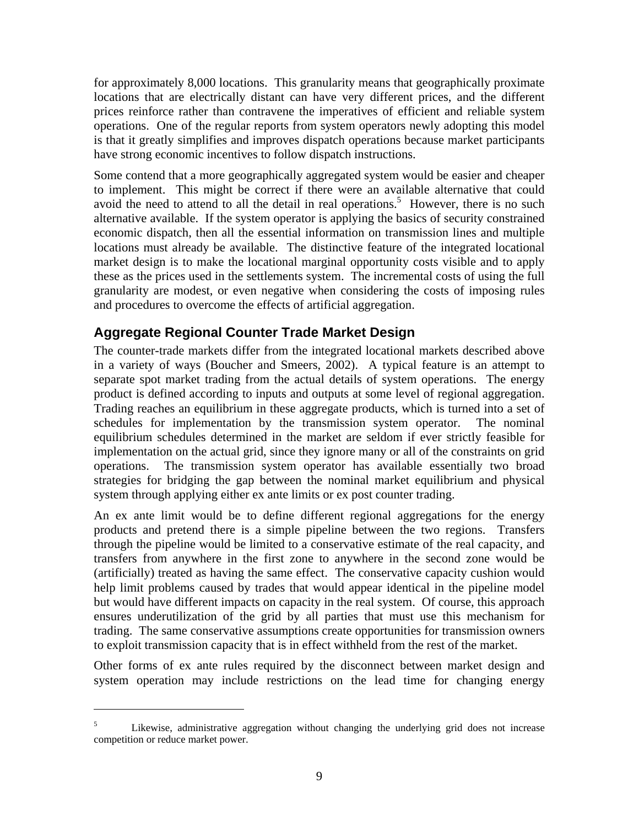for approximately 8,000 locations. This granularity means that geographically proximate locations that are electrically distant can have very different prices, and the different prices reinforce rather than contravene the imperatives of efficient and reliable system operations. One of the regular reports from system operators newly adopting this model is that it greatly simplifies and improves dispatch operations because market participants have strong economic incentives to follow dispatch instructions.

Some contend that a more geographically aggregated system would be easier and cheaper to implement. This might be correct if there were an available alternative that could avoid the need to attend to all the detail in real operations.<sup>5</sup> However, there is no such alternative available. If the system operator is applying the basics of security constrained economic dispatch, then all the essential information on transmission lines and multiple locations must already be available. The distinctive feature of the integrated locational market design is to make the locational marginal opportunity costs visible and to apply these as the prices used in the settlements system. The incremental costs of using the full granularity are modest, or even negative when considering the costs of imposing rules and procedures to overcome the effects of artificial aggregation.

#### **Aggregate Regional Counter Trade Market Design**

The counter-trade markets differ from the integrated locational markets described above in a variety of ways (Boucher and Smeers, 2002). A typical feature is an attempt to separate spot market trading from the actual details of system operations. The energy product is defined according to inputs and outputs at some level of regional aggregation. Trading reaches an equilibrium in these aggregate products, which is turned into a set of schedules for implementation by the transmission system operator. The nominal equilibrium schedules determined in the market are seldom if ever strictly feasible for implementation on the actual grid, since they ignore many or all of the constraints on grid operations. The transmission system operator has available essentially two broad strategies for bridging the gap between the nominal market equilibrium and physical system through applying either ex ante limits or ex post counter trading.

An ex ante limit would be to define different regional aggregations for the energy products and pretend there is a simple pipeline between the two regions. Transfers through the pipeline would be limited to a conservative estimate of the real capacity, and transfers from anywhere in the first zone to anywhere in the second zone would be (artificially) treated as having the same effect. The conservative capacity cushion would help limit problems caused by trades that would appear identical in the pipeline model but would have different impacts on capacity in the real system. Of course, this approach ensures underutilization of the grid by all parties that must use this mechanism for trading. The same conservative assumptions create opportunities for transmission owners to exploit transmission capacity that is in effect withheld from the rest of the market.

Other forms of ex ante rules required by the disconnect between market design and system operation may include restrictions on the lead time for changing energy

 $\overline{a}$ 

<sup>5</sup> Likewise, administrative aggregation without changing the underlying grid does not increase competition or reduce market power.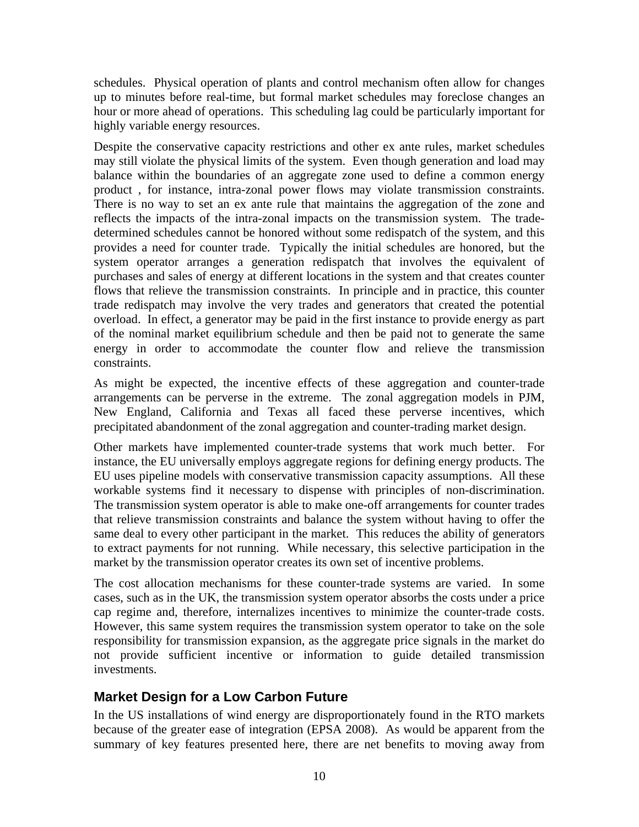schedules. Physical operation of plants and control mechanism often allow for changes up to minutes before real-time, but formal market schedules may foreclose changes an hour or more ahead of operations. This scheduling lag could be particularly important for highly variable energy resources.

Despite the conservative capacity restrictions and other ex ante rules, market schedules may still violate the physical limits of the system. Even though generation and load may balance within the boundaries of an aggregate zone used to define a common energy product , for instance, intra-zonal power flows may violate transmission constraints. There is no way to set an ex ante rule that maintains the aggregation of the zone and reflects the impacts of the intra-zonal impacts on the transmission system. The tradedetermined schedules cannot be honored without some redispatch of the system, and this provides a need for counter trade. Typically the initial schedules are honored, but the system operator arranges a generation redispatch that involves the equivalent of purchases and sales of energy at different locations in the system and that creates counter flows that relieve the transmission constraints. In principle and in practice, this counter trade redispatch may involve the very trades and generators that created the potential overload. In effect, a generator may be paid in the first instance to provide energy as part of the nominal market equilibrium schedule and then be paid not to generate the same energy in order to accommodate the counter flow and relieve the transmission constraints.

As might be expected, the incentive effects of these aggregation and counter-trade arrangements can be perverse in the extreme. The zonal aggregation models in PJM, New England, California and Texas all faced these perverse incentives, which precipitated abandonment of the zonal aggregation and counter-trading market design.

Other markets have implemented counter-trade systems that work much better. For instance, the EU universally employs aggregate regions for defining energy products. The EU uses pipeline models with conservative transmission capacity assumptions. All these workable systems find it necessary to dispense with principles of non-discrimination. The transmission system operator is able to make one-off arrangements for counter trades that relieve transmission constraints and balance the system without having to offer the same deal to every other participant in the market. This reduces the ability of generators to extract payments for not running. While necessary, this selective participation in the market by the transmission operator creates its own set of incentive problems.

The cost allocation mechanisms for these counter-trade systems are varied. In some cases, such as in the UK, the transmission system operator absorbs the costs under a price cap regime and, therefore, internalizes incentives to minimize the counter-trade costs. However, this same system requires the transmission system operator to take on the sole responsibility for transmission expansion, as the aggregate price signals in the market do not provide sufficient incentive or information to guide detailed transmission investments.

#### **Market Design for a Low Carbon Future**

In the US installations of wind energy are disproportionately found in the RTO markets because of the greater ease of integration (EPSA 2008). As would be apparent from the summary of key features presented here, there are net benefits to moving away from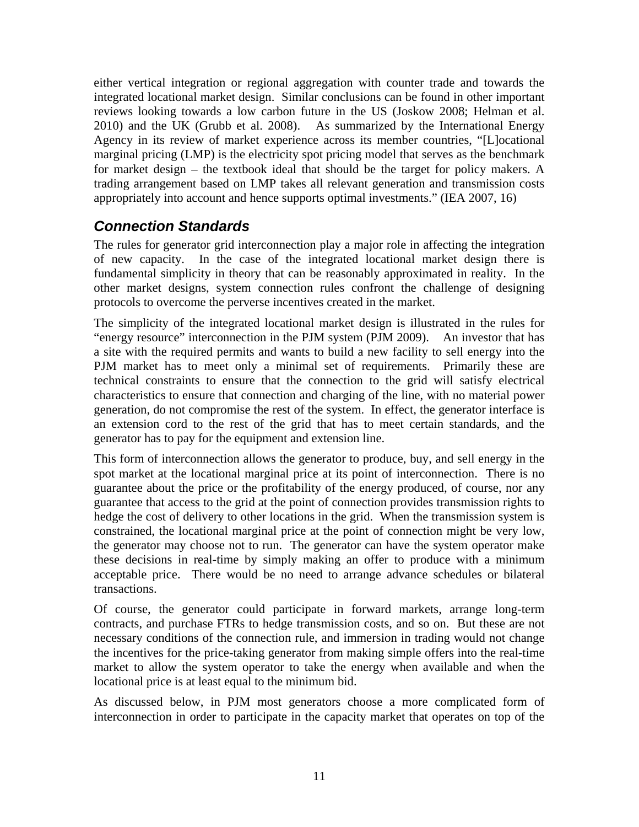either vertical integration or regional aggregation with counter trade and towards the integrated locational market design. Similar conclusions can be found in other important reviews looking towards a low carbon future in the US (Joskow 2008; Helman et al. 2010) and the UK (Grubb et al. 2008). As summarized by the International Energy Agency in its review of market experience across its member countries, "[L]ocational marginal pricing (LMP) is the electricity spot pricing model that serves as the benchmark for market design – the textbook ideal that should be the target for policy makers. A trading arrangement based on LMP takes all relevant generation and transmission costs appropriately into account and hence supports optimal investments." (IEA 2007, 16)

### *Connection Standards*

The rules for generator grid interconnection play a major role in affecting the integration of new capacity. In the case of the integrated locational market design there is fundamental simplicity in theory that can be reasonably approximated in reality. In the other market designs, system connection rules confront the challenge of designing protocols to overcome the perverse incentives created in the market.

The simplicity of the integrated locational market design is illustrated in the rules for "energy resource" interconnection in the PJM system (PJM 2009). An investor that has a site with the required permits and wants to build a new facility to sell energy into the PJM market has to meet only a minimal set of requirements. Primarily these are technical constraints to ensure that the connection to the grid will satisfy electrical characteristics to ensure that connection and charging of the line, with no material power generation, do not compromise the rest of the system. In effect, the generator interface is an extension cord to the rest of the grid that has to meet certain standards, and the generator has to pay for the equipment and extension line.

This form of interconnection allows the generator to produce, buy, and sell energy in the spot market at the locational marginal price at its point of interconnection. There is no guarantee about the price or the profitability of the energy produced, of course, nor any guarantee that access to the grid at the point of connection provides transmission rights to hedge the cost of delivery to other locations in the grid. When the transmission system is constrained, the locational marginal price at the point of connection might be very low, the generator may choose not to run. The generator can have the system operator make these decisions in real-time by simply making an offer to produce with a minimum acceptable price. There would be no need to arrange advance schedules or bilateral transactions.

Of course, the generator could participate in forward markets, arrange long-term contracts, and purchase FTRs to hedge transmission costs, and so on. But these are not necessary conditions of the connection rule, and immersion in trading would not change the incentives for the price-taking generator from making simple offers into the real-time market to allow the system operator to take the energy when available and when the locational price is at least equal to the minimum bid.

As discussed below, in PJM most generators choose a more complicated form of interconnection in order to participate in the capacity market that operates on top of the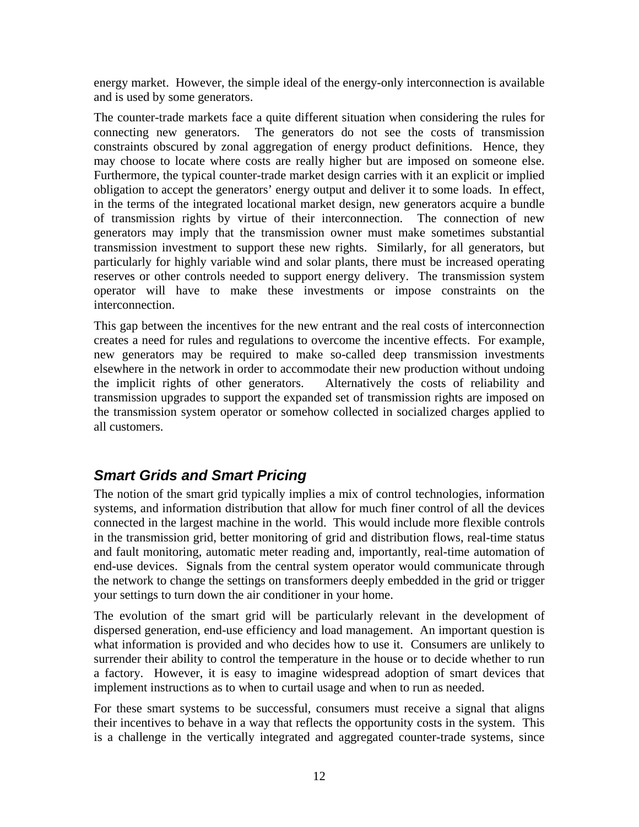energy market. However, the simple ideal of the energy-only interconnection is available and is used by some generators.

The counter-trade markets face a quite different situation when considering the rules for connecting new generators. The generators do not see the costs of transmission constraints obscured by zonal aggregation of energy product definitions. Hence, they may choose to locate where costs are really higher but are imposed on someone else. Furthermore, the typical counter-trade market design carries with it an explicit or implied obligation to accept the generators' energy output and deliver it to some loads. In effect, in the terms of the integrated locational market design, new generators acquire a bundle of transmission rights by virtue of their interconnection. The connection of new generators may imply that the transmission owner must make sometimes substantial transmission investment to support these new rights. Similarly, for all generators, but particularly for highly variable wind and solar plants, there must be increased operating reserves or other controls needed to support energy delivery. The transmission system operator will have to make these investments or impose constraints on the interconnection.

This gap between the incentives for the new entrant and the real costs of interconnection creates a need for rules and regulations to overcome the incentive effects. For example, new generators may be required to make so-called deep transmission investments elsewhere in the network in order to accommodate their new production without undoing the implicit rights of other generators. Alternatively the costs of reliability and transmission upgrades to support the expanded set of transmission rights are imposed on the transmission system operator or somehow collected in socialized charges applied to all customers.

# *Smart Grids and Smart Pricing*

The notion of the smart grid typically implies a mix of control technologies, information systems, and information distribution that allow for much finer control of all the devices connected in the largest machine in the world. This would include more flexible controls in the transmission grid, better monitoring of grid and distribution flows, real-time status and fault monitoring, automatic meter reading and, importantly, real-time automation of end-use devices. Signals from the central system operator would communicate through the network to change the settings on transformers deeply embedded in the grid or trigger your settings to turn down the air conditioner in your home.

The evolution of the smart grid will be particularly relevant in the development of dispersed generation, end-use efficiency and load management. An important question is what information is provided and who decides how to use it. Consumers are unlikely to surrender their ability to control the temperature in the house or to decide whether to run a factory. However, it is easy to imagine widespread adoption of smart devices that implement instructions as to when to curtail usage and when to run as needed.

For these smart systems to be successful, consumers must receive a signal that aligns their incentives to behave in a way that reflects the opportunity costs in the system. This is a challenge in the vertically integrated and aggregated counter-trade systems, since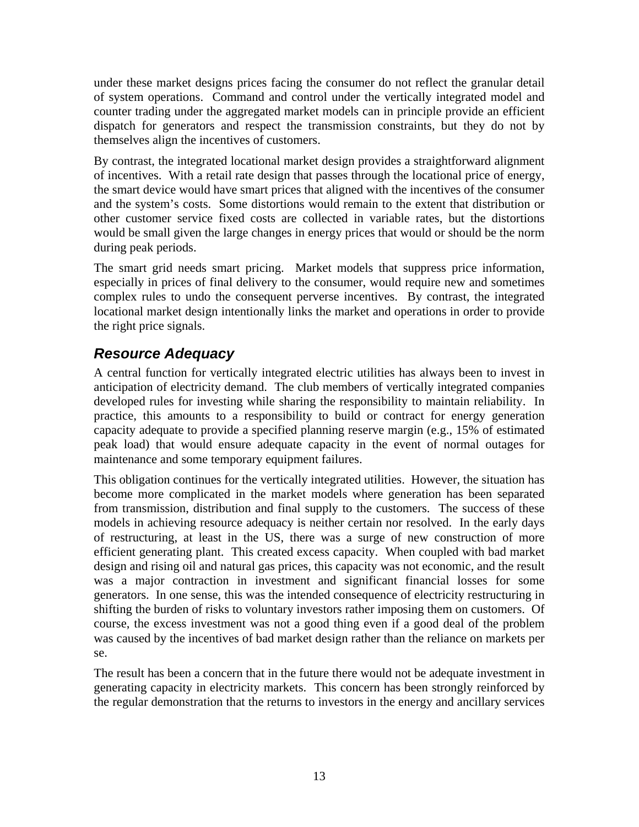under these market designs prices facing the consumer do not reflect the granular detail of system operations. Command and control under the vertically integrated model and counter trading under the aggregated market models can in principle provide an efficient dispatch for generators and respect the transmission constraints, but they do not by themselves align the incentives of customers.

By contrast, the integrated locational market design provides a straightforward alignment of incentives. With a retail rate design that passes through the locational price of energy, the smart device would have smart prices that aligned with the incentives of the consumer and the system's costs. Some distortions would remain to the extent that distribution or other customer service fixed costs are collected in variable rates, but the distortions would be small given the large changes in energy prices that would or should be the norm during peak periods.

The smart grid needs smart pricing. Market models that suppress price information, especially in prices of final delivery to the consumer, would require new and sometimes complex rules to undo the consequent perverse incentives. By contrast, the integrated locational market design intentionally links the market and operations in order to provide the right price signals.

# *Resource Adequacy*

A central function for vertically integrated electric utilities has always been to invest in anticipation of electricity demand. The club members of vertically integrated companies developed rules for investing while sharing the responsibility to maintain reliability. In practice, this amounts to a responsibility to build or contract for energy generation capacity adequate to provide a specified planning reserve margin (e.g., 15% of estimated peak load) that would ensure adequate capacity in the event of normal outages for maintenance and some temporary equipment failures.

This obligation continues for the vertically integrated utilities. However, the situation has become more complicated in the market models where generation has been separated from transmission, distribution and final supply to the customers. The success of these models in achieving resource adequacy is neither certain nor resolved. In the early days of restructuring, at least in the US, there was a surge of new construction of more efficient generating plant. This created excess capacity. When coupled with bad market design and rising oil and natural gas prices, this capacity was not economic, and the result was a major contraction in investment and significant financial losses for some generators. In one sense, this was the intended consequence of electricity restructuring in shifting the burden of risks to voluntary investors rather imposing them on customers. Of course, the excess investment was not a good thing even if a good deal of the problem was caused by the incentives of bad market design rather than the reliance on markets per se.

The result has been a concern that in the future there would not be adequate investment in generating capacity in electricity markets. This concern has been strongly reinforced by the regular demonstration that the returns to investors in the energy and ancillary services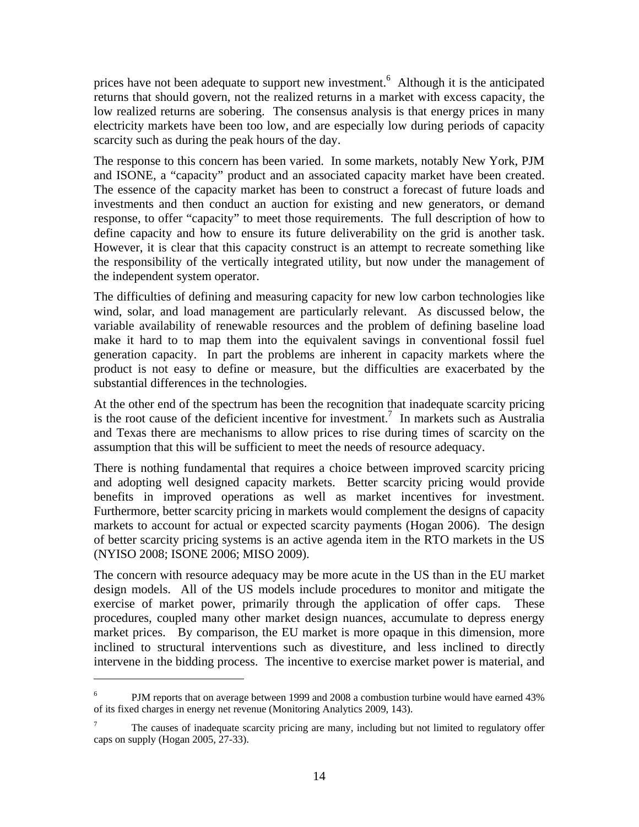prices have not been adequate to support new investment.<sup>6</sup> Although it is the anticipated returns that should govern, not the realized returns in a market with excess capacity, the low realized returns are sobering. The consensus analysis is that energy prices in many electricity markets have been too low, and are especially low during periods of capacity scarcity such as during the peak hours of the day.

The response to this concern has been varied. In some markets, notably New York, PJM and ISONE, a "capacity" product and an associated capacity market have been created. The essence of the capacity market has been to construct a forecast of future loads and investments and then conduct an auction for existing and new generators, or demand response, to offer "capacity" to meet those requirements. The full description of how to define capacity and how to ensure its future deliverability on the grid is another task. However, it is clear that this capacity construct is an attempt to recreate something like the responsibility of the vertically integrated utility, but now under the management of the independent system operator.

The difficulties of defining and measuring capacity for new low carbon technologies like wind, solar, and load management are particularly relevant. As discussed below, the variable availability of renewable resources and the problem of defining baseline load make it hard to to map them into the equivalent savings in conventional fossil fuel generation capacity. In part the problems are inherent in capacity markets where the product is not easy to define or measure, but the difficulties are exacerbated by the substantial differences in the technologies.

At the other end of the spectrum has been the recognition that inadequate scarcity pricing is the root cause of the deficient incentive for investment.<sup>7</sup> In markets such as Australia and Texas there are mechanisms to allow prices to rise during times of scarcity on the assumption that this will be sufficient to meet the needs of resource adequacy.

There is nothing fundamental that requires a choice between improved scarcity pricing and adopting well designed capacity markets. Better scarcity pricing would provide benefits in improved operations as well as market incentives for investment. Furthermore, better scarcity pricing in markets would complement the designs of capacity markets to account for actual or expected scarcity payments (Hogan 2006). The design of better scarcity pricing systems is an active agenda item in the RTO markets in the US (NYISO 2008; ISONE 2006; MISO 2009).

The concern with resource adequacy may be more acute in the US than in the EU market design models. All of the US models include procedures to monitor and mitigate the exercise of market power, primarily through the application of offer caps. These procedures, coupled many other market design nuances, accumulate to depress energy market prices. By comparison, the EU market is more opaque in this dimension, more inclined to structural interventions such as divestiture, and less inclined to directly intervene in the bidding process. The incentive to exercise market power is material, and

<u>.</u>

<sup>6</sup> PJM reports that on average between 1999 and 2008 a combustion turbine would have earned 43% of its fixed charges in energy net revenue (Monitoring Analytics 2009, 143).

<sup>7</sup> The causes of inadequate scarcity pricing are many, including but not limited to regulatory offer caps on supply (Hogan 2005, 27-33).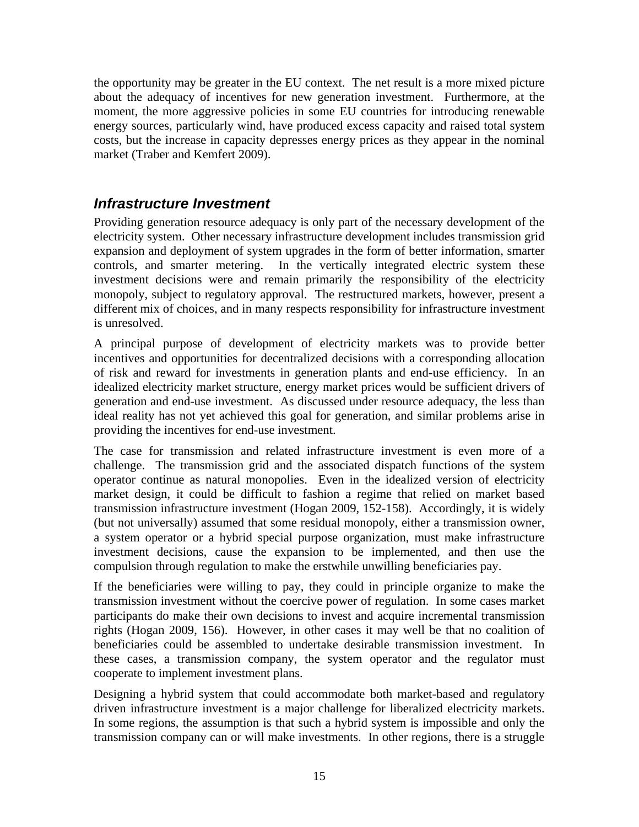the opportunity may be greater in the EU context. The net result is a more mixed picture about the adequacy of incentives for new generation investment. Furthermore, at the moment, the more aggressive policies in some EU countries for introducing renewable energy sources, particularly wind, have produced excess capacity and raised total system costs, but the increase in capacity depresses energy prices as they appear in the nominal market (Traber and Kemfert 2009).

#### *Infrastructure Investment*

Providing generation resource adequacy is only part of the necessary development of the electricity system. Other necessary infrastructure development includes transmission grid expansion and deployment of system upgrades in the form of better information, smarter controls, and smarter metering. In the vertically integrated electric system these investment decisions were and remain primarily the responsibility of the electricity monopoly, subject to regulatory approval. The restructured markets, however, present a different mix of choices, and in many respects responsibility for infrastructure investment is unresolved.

A principal purpose of development of electricity markets was to provide better incentives and opportunities for decentralized decisions with a corresponding allocation of risk and reward for investments in generation plants and end-use efficiency. In an idealized electricity market structure, energy market prices would be sufficient drivers of generation and end-use investment. As discussed under resource adequacy, the less than ideal reality has not yet achieved this goal for generation, and similar problems arise in providing the incentives for end-use investment.

The case for transmission and related infrastructure investment is even more of a challenge. The transmission grid and the associated dispatch functions of the system operator continue as natural monopolies. Even in the idealized version of electricity market design, it could be difficult to fashion a regime that relied on market based transmission infrastructure investment (Hogan 2009, 152-158). Accordingly, it is widely (but not universally) assumed that some residual monopoly, either a transmission owner, a system operator or a hybrid special purpose organization, must make infrastructure investment decisions, cause the expansion to be implemented, and then use the compulsion through regulation to make the erstwhile unwilling beneficiaries pay.

If the beneficiaries were willing to pay, they could in principle organize to make the transmission investment without the coercive power of regulation. In some cases market participants do make their own decisions to invest and acquire incremental transmission rights (Hogan 2009, 156). However, in other cases it may well be that no coalition of beneficiaries could be assembled to undertake desirable transmission investment. In these cases, a transmission company, the system operator and the regulator must cooperate to implement investment plans.

Designing a hybrid system that could accommodate both market-based and regulatory driven infrastructure investment is a major challenge for liberalized electricity markets. In some regions, the assumption is that such a hybrid system is impossible and only the transmission company can or will make investments. In other regions, there is a struggle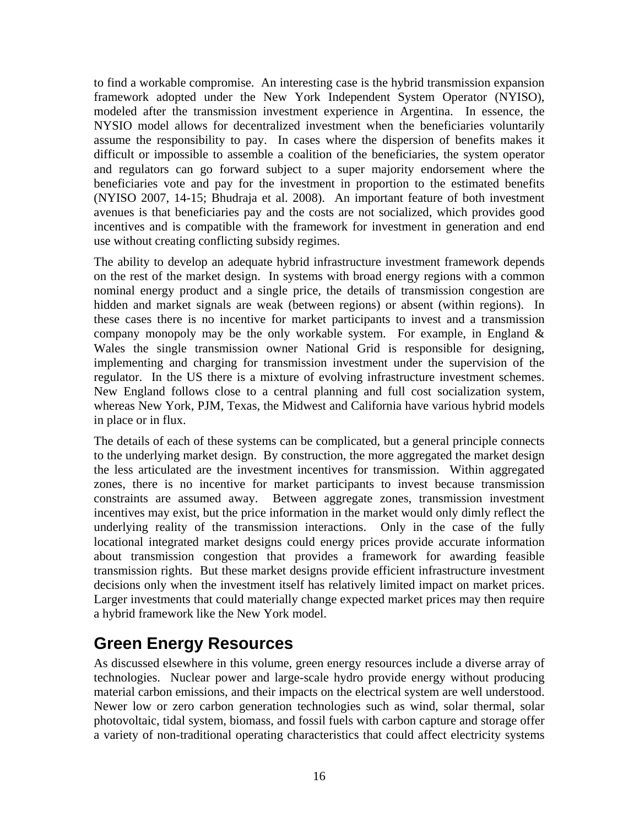to find a workable compromise. An interesting case is the hybrid transmission expansion framework adopted under the New York Independent System Operator (NYISO), modeled after the transmission investment experience in Argentina. In essence, the NYSIO model allows for decentralized investment when the beneficiaries voluntarily assume the responsibility to pay. In cases where the dispersion of benefits makes it difficult or impossible to assemble a coalition of the beneficiaries, the system operator and regulators can go forward subject to a super majority endorsement where the beneficiaries vote and pay for the investment in proportion to the estimated benefits (NYISO 2007, 14-15; Bhudraja et al. 2008). An important feature of both investment avenues is that beneficiaries pay and the costs are not socialized, which provides good incentives and is compatible with the framework for investment in generation and end use without creating conflicting subsidy regimes.

The ability to develop an adequate hybrid infrastructure investment framework depends on the rest of the market design. In systems with broad energy regions with a common nominal energy product and a single price, the details of transmission congestion are hidden and market signals are weak (between regions) or absent (within regions). In these cases there is no incentive for market participants to invest and a transmission company monopoly may be the only workable system. For example, in England  $\&$ Wales the single transmission owner National Grid is responsible for designing, implementing and charging for transmission investment under the supervision of the regulator. In the US there is a mixture of evolving infrastructure investment schemes. New England follows close to a central planning and full cost socialization system, whereas New York, PJM, Texas, the Midwest and California have various hybrid models in place or in flux.

The details of each of these systems can be complicated, but a general principle connects to the underlying market design. By construction, the more aggregated the market design the less articulated are the investment incentives for transmission. Within aggregated zones, there is no incentive for market participants to invest because transmission constraints are assumed away. Between aggregate zones, transmission investment incentives may exist, but the price information in the market would only dimly reflect the underlying reality of the transmission interactions. Only in the case of the fully locational integrated market designs could energy prices provide accurate information about transmission congestion that provides a framework for awarding feasible transmission rights. But these market designs provide efficient infrastructure investment decisions only when the investment itself has relatively limited impact on market prices. Larger investments that could materially change expected market prices may then require a hybrid framework like the New York model.

# **Green Energy Resources**

As discussed elsewhere in this volume, green energy resources include a diverse array of technologies. Nuclear power and large-scale hydro provide energy without producing material carbon emissions, and their impacts on the electrical system are well understood. Newer low or zero carbon generation technologies such as wind, solar thermal, solar photovoltaic, tidal system, biomass, and fossil fuels with carbon capture and storage offer a variety of non-traditional operating characteristics that could affect electricity systems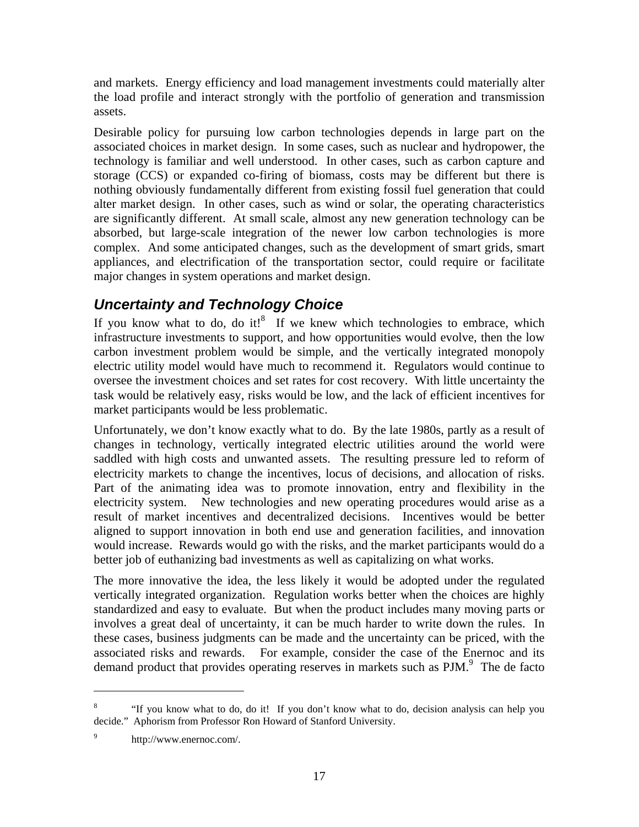and markets. Energy efficiency and load management investments could materially alter the load profile and interact strongly with the portfolio of generation and transmission assets.

Desirable policy for pursuing low carbon technologies depends in large part on the associated choices in market design. In some cases, such as nuclear and hydropower, the technology is familiar and well understood. In other cases, such as carbon capture and storage (CCS) or expanded co-firing of biomass, costs may be different but there is nothing obviously fundamentally different from existing fossil fuel generation that could alter market design. In other cases, such as wind or solar, the operating characteristics are significantly different. At small scale, almost any new generation technology can be absorbed, but large-scale integration of the newer low carbon technologies is more complex. And some anticipated changes, such as the development of smart grids, smart appliances, and electrification of the transportation sector, could require or facilitate major changes in system operations and market design.

# *Uncertainty and Technology Choice*

If you know what to do, do it!<sup>8</sup> If we knew which technologies to embrace, which infrastructure investments to support, and how opportunities would evolve, then the low carbon investment problem would be simple, and the vertically integrated monopoly electric utility model would have much to recommend it. Regulators would continue to oversee the investment choices and set rates for cost recovery. With little uncertainty the task would be relatively easy, risks would be low, and the lack of efficient incentives for market participants would be less problematic.

Unfortunately, we don't know exactly what to do. By the late 1980s, partly as a result of changes in technology, vertically integrated electric utilities around the world were saddled with high costs and unwanted assets. The resulting pressure led to reform of electricity markets to change the incentives, locus of decisions, and allocation of risks. Part of the animating idea was to promote innovation, entry and flexibility in the electricity system. New technologies and new operating procedures would arise as a result of market incentives and decentralized decisions. Incentives would be better aligned to support innovation in both end use and generation facilities, and innovation would increase. Rewards would go with the risks, and the market participants would do a better job of euthanizing bad investments as well as capitalizing on what works.

The more innovative the idea, the less likely it would be adopted under the regulated vertically integrated organization. Regulation works better when the choices are highly standardized and easy to evaluate. But when the product includes many moving parts or involves a great deal of uncertainty, it can be much harder to write down the rules. In these cases, business judgments can be made and the uncertainty can be priced, with the associated risks and rewards. For example, consider the case of the Enernoc and its demand product that provides operating reserves in markets such as PJM.<sup>9</sup> The de facto

1

<sup>8</sup> "If you know what to do, do it! If you don't know what to do, decision analysis can help you decide." Aphorism from Professor Ron Howard of Stanford University.

<sup>9</sup> http://www.enernoc.com/.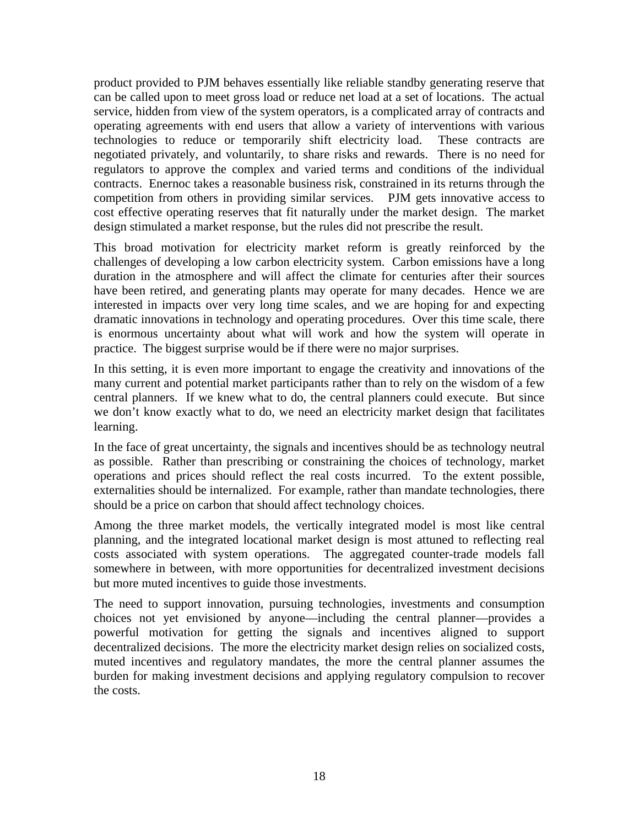product provided to PJM behaves essentially like reliable standby generating reserve that can be called upon to meet gross load or reduce net load at a set of locations. The actual service, hidden from view of the system operators, is a complicated array of contracts and operating agreements with end users that allow a variety of interventions with various technologies to reduce or temporarily shift electricity load. These contracts are negotiated privately, and voluntarily, to share risks and rewards. There is no need for regulators to approve the complex and varied terms and conditions of the individual contracts. Enernoc takes a reasonable business risk, constrained in its returns through the competition from others in providing similar services. PJM gets innovative access to cost effective operating reserves that fit naturally under the market design. The market design stimulated a market response, but the rules did not prescribe the result.

This broad motivation for electricity market reform is greatly reinforced by the challenges of developing a low carbon electricity system. Carbon emissions have a long duration in the atmosphere and will affect the climate for centuries after their sources have been retired, and generating plants may operate for many decades. Hence we are interested in impacts over very long time scales, and we are hoping for and expecting dramatic innovations in technology and operating procedures. Over this time scale, there is enormous uncertainty about what will work and how the system will operate in practice. The biggest surprise would be if there were no major surprises.

In this setting, it is even more important to engage the creativity and innovations of the many current and potential market participants rather than to rely on the wisdom of a few central planners. If we knew what to do, the central planners could execute. But since we don't know exactly what to do, we need an electricity market design that facilitates learning.

In the face of great uncertainty, the signals and incentives should be as technology neutral as possible. Rather than prescribing or constraining the choices of technology, market operations and prices should reflect the real costs incurred. To the extent possible, externalities should be internalized. For example, rather than mandate technologies, there should be a price on carbon that should affect technology choices.

Among the three market models, the vertically integrated model is most like central planning, and the integrated locational market design is most attuned to reflecting real costs associated with system operations. The aggregated counter-trade models fall somewhere in between, with more opportunities for decentralized investment decisions but more muted incentives to guide those investments.

The need to support innovation, pursuing technologies, investments and consumption choices not yet envisioned by anyone—including the central planner—provides a powerful motivation for getting the signals and incentives aligned to support decentralized decisions. The more the electricity market design relies on socialized costs, muted incentives and regulatory mandates, the more the central planner assumes the burden for making investment decisions and applying regulatory compulsion to recover the costs.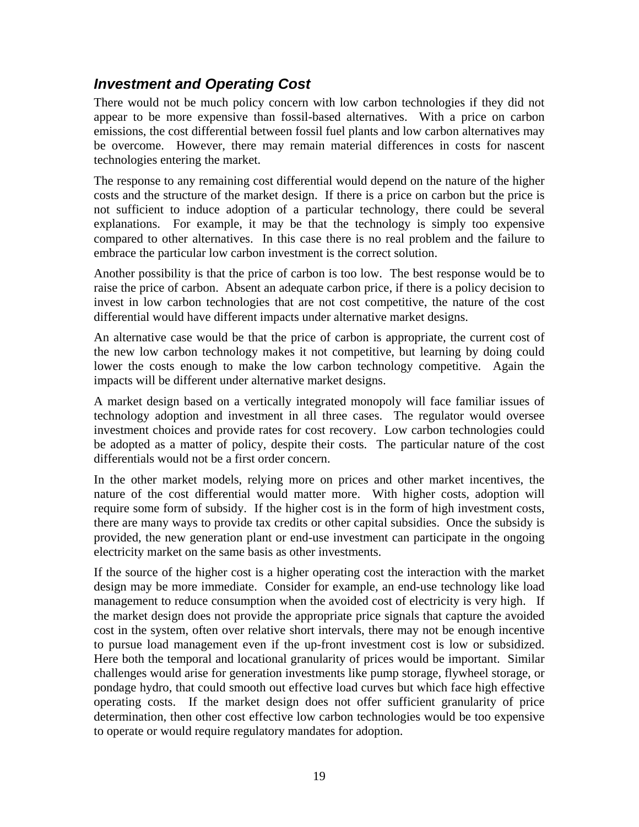### *Investment and Operating Cost*

There would not be much policy concern with low carbon technologies if they did not appear to be more expensive than fossil-based alternatives. With a price on carbon emissions, the cost differential between fossil fuel plants and low carbon alternatives may be overcome. However, there may remain material differences in costs for nascent technologies entering the market.

The response to any remaining cost differential would depend on the nature of the higher costs and the structure of the market design. If there is a price on carbon but the price is not sufficient to induce adoption of a particular technology, there could be several explanations. For example, it may be that the technology is simply too expensive compared to other alternatives. In this case there is no real problem and the failure to embrace the particular low carbon investment is the correct solution.

Another possibility is that the price of carbon is too low. The best response would be to raise the price of carbon. Absent an adequate carbon price, if there is a policy decision to invest in low carbon technologies that are not cost competitive, the nature of the cost differential would have different impacts under alternative market designs.

An alternative case would be that the price of carbon is appropriate, the current cost of the new low carbon technology makes it not competitive, but learning by doing could lower the costs enough to make the low carbon technology competitive. Again the impacts will be different under alternative market designs.

A market design based on a vertically integrated monopoly will face familiar issues of technology adoption and investment in all three cases. The regulator would oversee investment choices and provide rates for cost recovery. Low carbon technologies could be adopted as a matter of policy, despite their costs. The particular nature of the cost differentials would not be a first order concern.

In the other market models, relying more on prices and other market incentives, the nature of the cost differential would matter more. With higher costs, adoption will require some form of subsidy. If the higher cost is in the form of high investment costs, there are many ways to provide tax credits or other capital subsidies. Once the subsidy is provided, the new generation plant or end-use investment can participate in the ongoing electricity market on the same basis as other investments.

If the source of the higher cost is a higher operating cost the interaction with the market design may be more immediate. Consider for example, an end-use technology like load management to reduce consumption when the avoided cost of electricity is very high. If the market design does not provide the appropriate price signals that capture the avoided cost in the system, often over relative short intervals, there may not be enough incentive to pursue load management even if the up-front investment cost is low or subsidized. Here both the temporal and locational granularity of prices would be important. Similar challenges would arise for generation investments like pump storage, flywheel storage, or pondage hydro, that could smooth out effective load curves but which face high effective operating costs. If the market design does not offer sufficient granularity of price determination, then other cost effective low carbon technologies would be too expensive to operate or would require regulatory mandates for adoption.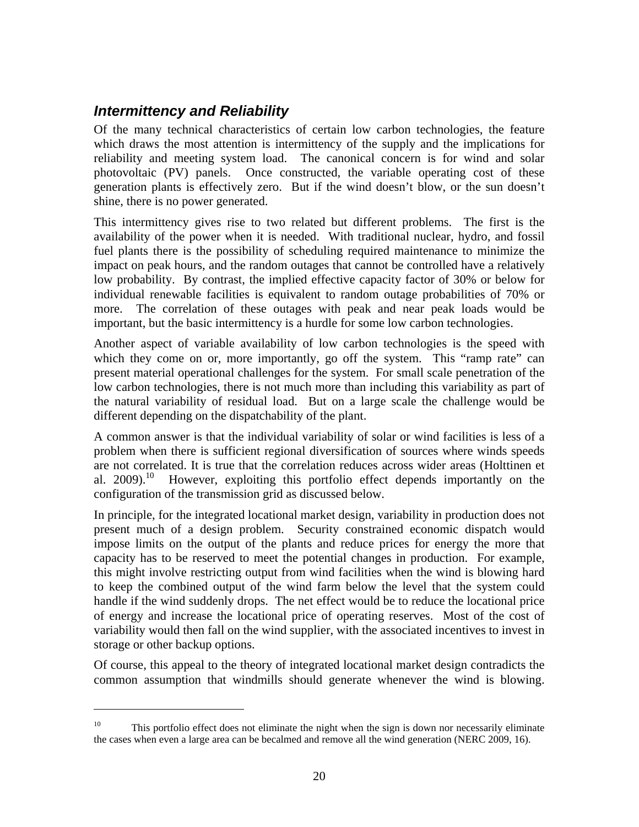### *Intermittency and Reliability*

 $\overline{a}$ 

Of the many technical characteristics of certain low carbon technologies, the feature which draws the most attention is intermittency of the supply and the implications for reliability and meeting system load. The canonical concern is for wind and solar photovoltaic (PV) panels. Once constructed, the variable operating cost of these generation plants is effectively zero. But if the wind doesn't blow, or the sun doesn't shine, there is no power generated.

This intermittency gives rise to two related but different problems. The first is the availability of the power when it is needed. With traditional nuclear, hydro, and fossil fuel plants there is the possibility of scheduling required maintenance to minimize the impact on peak hours, and the random outages that cannot be controlled have a relatively low probability. By contrast, the implied effective capacity factor of 30% or below for individual renewable facilities is equivalent to random outage probabilities of 70% or more. The correlation of these outages with peak and near peak loads would be important, but the basic intermittency is a hurdle for some low carbon technologies.

Another aspect of variable availability of low carbon technologies is the speed with which they come on or, more importantly, go off the system. This "ramp rate" can present material operational challenges for the system. For small scale penetration of the low carbon technologies, there is not much more than including this variability as part of the natural variability of residual load. But on a large scale the challenge would be different depending on the dispatchability of the plant.

A common answer is that the individual variability of solar or wind facilities is less of a problem when there is sufficient regional diversification of sources where winds speeds are not correlated. It is true that the correlation reduces across wider areas (Holttinen et al. 2009).<sup>10</sup> However, exploiting this portfolio effect depends importantly on the configuration of the transmission grid as discussed below.

In principle, for the integrated locational market design, variability in production does not present much of a design problem. Security constrained economic dispatch would impose limits on the output of the plants and reduce prices for energy the more that capacity has to be reserved to meet the potential changes in production. For example, this might involve restricting output from wind facilities when the wind is blowing hard to keep the combined output of the wind farm below the level that the system could handle if the wind suddenly drops. The net effect would be to reduce the locational price of energy and increase the locational price of operating reserves. Most of the cost of variability would then fall on the wind supplier, with the associated incentives to invest in storage or other backup options.

Of course, this appeal to the theory of integrated locational market design contradicts the common assumption that windmills should generate whenever the wind is blowing.

 $10$  This portfolio effect does not eliminate the night when the sign is down nor necessarily eliminate the cases when even a large area can be becalmed and remove all the wind generation (NERC 2009, 16).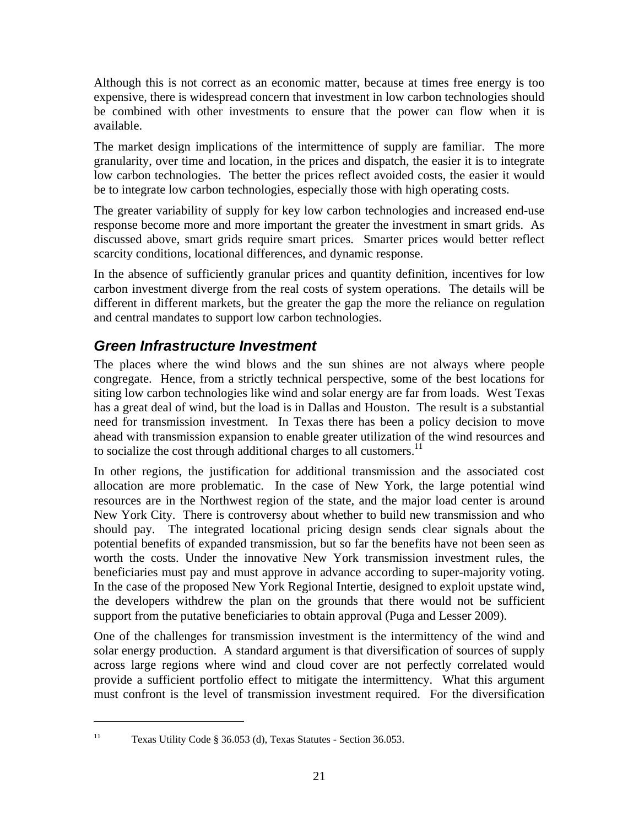Although this is not correct as an economic matter, because at times free energy is too expensive, there is widespread concern that investment in low carbon technologies should be combined with other investments to ensure that the power can flow when it is available.

The market design implications of the intermittence of supply are familiar. The more granularity, over time and location, in the prices and dispatch, the easier it is to integrate low carbon technologies. The better the prices reflect avoided costs, the easier it would be to integrate low carbon technologies, especially those with high operating costs.

The greater variability of supply for key low carbon technologies and increased end-use response become more and more important the greater the investment in smart grids. As discussed above, smart grids require smart prices. Smarter prices would better reflect scarcity conditions, locational differences, and dynamic response.

In the absence of sufficiently granular prices and quantity definition, incentives for low carbon investment diverge from the real costs of system operations. The details will be different in different markets, but the greater the gap the more the reliance on regulation and central mandates to support low carbon technologies.

# *Green Infrastructure Investment*

The places where the wind blows and the sun shines are not always where people congregate. Hence, from a strictly technical perspective, some of the best locations for siting low carbon technologies like wind and solar energy are far from loads. West Texas has a great deal of wind, but the load is in Dallas and Houston. The result is a substantial need for transmission investment. In Texas there has been a policy decision to move ahead with transmission expansion to enable greater utilization of the wind resources and to socialize the cost through additional charges to all customers.<sup>11</sup>

In other regions, the justification for additional transmission and the associated cost allocation are more problematic. In the case of New York, the large potential wind resources are in the Northwest region of the state, and the major load center is around New York City. There is controversy about whether to build new transmission and who should pay. The integrated locational pricing design sends clear signals about the potential benefits of expanded transmission, but so far the benefits have not been seen as worth the costs. Under the innovative New York transmission investment rules, the beneficiaries must pay and must approve in advance according to super-majority voting. In the case of the proposed New York Regional Intertie, designed to exploit upstate wind, the developers withdrew the plan on the grounds that there would not be sufficient support from the putative beneficiaries to obtain approval (Puga and Lesser 2009).

One of the challenges for transmission investment is the intermittency of the wind and solar energy production. A standard argument is that diversification of sources of supply across large regions where wind and cloud cover are not perfectly correlated would provide a sufficient portfolio effect to mitigate the intermittency. What this argument must confront is the level of transmission investment required. For the diversification

 $\overline{a}$ 

<sup>11</sup> Texas Utility Code § 36.053 (d), Texas Statutes - Section 36.053.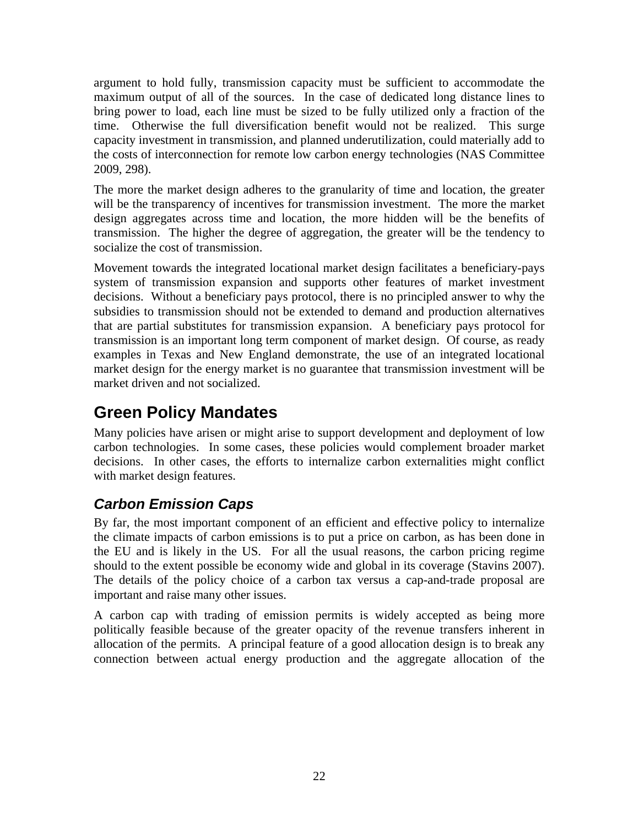argument to hold fully, transmission capacity must be sufficient to accommodate the maximum output of all of the sources. In the case of dedicated long distance lines to bring power to load, each line must be sized to be fully utilized only a fraction of the time. Otherwise the full diversification benefit would not be realized. This surge capacity investment in transmission, and planned underutilization, could materially add to the costs of interconnection for remote low carbon energy technologies (NAS Committee 2009, 298).

The more the market design adheres to the granularity of time and location, the greater will be the transparency of incentives for transmission investment. The more the market design aggregates across time and location, the more hidden will be the benefits of transmission. The higher the degree of aggregation, the greater will be the tendency to socialize the cost of transmission.

Movement towards the integrated locational market design facilitates a beneficiary-pays system of transmission expansion and supports other features of market investment decisions. Without a beneficiary pays protocol, there is no principled answer to why the subsidies to transmission should not be extended to demand and production alternatives that are partial substitutes for transmission expansion. A beneficiary pays protocol for transmission is an important long term component of market design. Of course, as ready examples in Texas and New England demonstrate, the use of an integrated locational market design for the energy market is no guarantee that transmission investment will be market driven and not socialized.

# **Green Policy Mandates**

Many policies have arisen or might arise to support development and deployment of low carbon technologies. In some cases, these policies would complement broader market decisions. In other cases, the efforts to internalize carbon externalities might conflict with market design features.

# *Carbon Emission Caps*

By far, the most important component of an efficient and effective policy to internalize the climate impacts of carbon emissions is to put a price on carbon, as has been done in the EU and is likely in the US. For all the usual reasons, the carbon pricing regime should to the extent possible be economy wide and global in its coverage (Stavins 2007). The details of the policy choice of a carbon tax versus a cap-and-trade proposal are important and raise many other issues.

A carbon cap with trading of emission permits is widely accepted as being more politically feasible because of the greater opacity of the revenue transfers inherent in allocation of the permits. A principal feature of a good allocation design is to break any connection between actual energy production and the aggregate allocation of the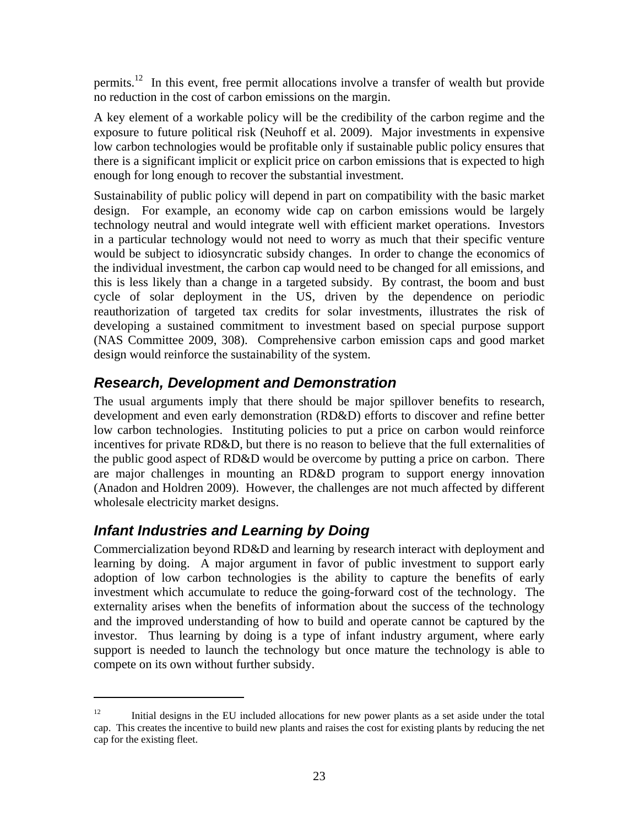permits.12 In this event, free permit allocations involve a transfer of wealth but provide no reduction in the cost of carbon emissions on the margin.

A key element of a workable policy will be the credibility of the carbon regime and the exposure to future political risk (Neuhoff et al. 2009). Major investments in expensive low carbon technologies would be profitable only if sustainable public policy ensures that there is a significant implicit or explicit price on carbon emissions that is expected to high enough for long enough to recover the substantial investment.

Sustainability of public policy will depend in part on compatibility with the basic market design. For example, an economy wide cap on carbon emissions would be largely technology neutral and would integrate well with efficient market operations. Investors in a particular technology would not need to worry as much that their specific venture would be subject to idiosyncratic subsidy changes. In order to change the economics of the individual investment, the carbon cap would need to be changed for all emissions, and this is less likely than a change in a targeted subsidy. By contrast, the boom and bust cycle of solar deployment in the US, driven by the dependence on periodic reauthorization of targeted tax credits for solar investments, illustrates the risk of developing a sustained commitment to investment based on special purpose support (NAS Committee 2009, 308). Comprehensive carbon emission caps and good market design would reinforce the sustainability of the system.

### *Research, Development and Demonstration*

The usual arguments imply that there should be major spillover benefits to research, development and even early demonstration (RD&D) efforts to discover and refine better low carbon technologies. Instituting policies to put a price on carbon would reinforce incentives for private RD&D, but there is no reason to believe that the full externalities of the public good aspect of RD&D would be overcome by putting a price on carbon. There are major challenges in mounting an RD&D program to support energy innovation (Anadon and Holdren 2009). However, the challenges are not much affected by different wholesale electricity market designs.

# *Infant Industries and Learning by Doing*

 $\overline{a}$ 

Commercialization beyond RD&D and learning by research interact with deployment and learning by doing. A major argument in favor of public investment to support early adoption of low carbon technologies is the ability to capture the benefits of early investment which accumulate to reduce the going-forward cost of the technology. The externality arises when the benefits of information about the success of the technology and the improved understanding of how to build and operate cannot be captured by the investor. Thus learning by doing is a type of infant industry argument, where early support is needed to launch the technology but once mature the technology is able to compete on its own without further subsidy.

<sup>&</sup>lt;sup>12</sup> Initial designs in the EU included allocations for new power plants as a set aside under the total cap. This creates the incentive to build new plants and raises the cost for existing plants by reducing the net cap for the existing fleet.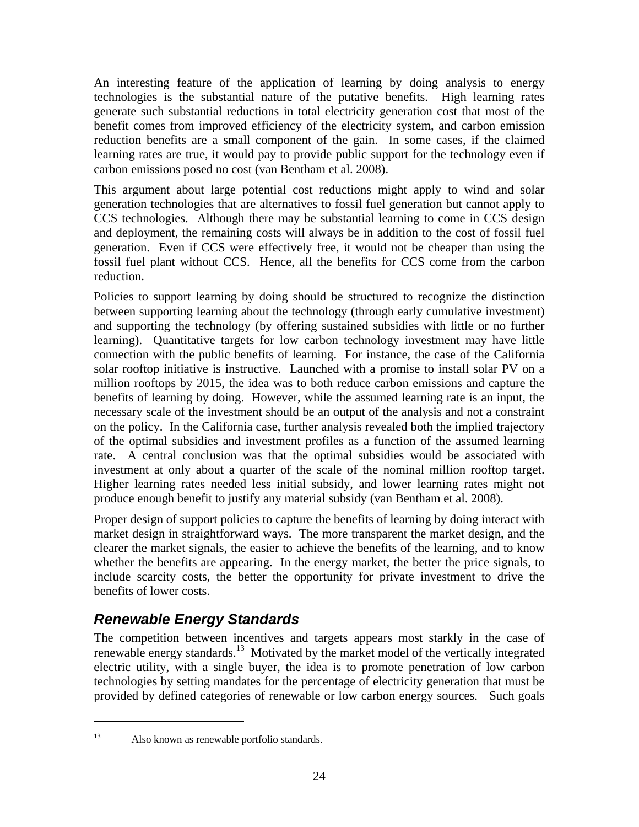An interesting feature of the application of learning by doing analysis to energy technologies is the substantial nature of the putative benefits. High learning rates generate such substantial reductions in total electricity generation cost that most of the benefit comes from improved efficiency of the electricity system, and carbon emission reduction benefits are a small component of the gain. In some cases, if the claimed learning rates are true, it would pay to provide public support for the technology even if carbon emissions posed no cost (van Bentham et al. 2008).

This argument about large potential cost reductions might apply to wind and solar generation technologies that are alternatives to fossil fuel generation but cannot apply to CCS technologies. Although there may be substantial learning to come in CCS design and deployment, the remaining costs will always be in addition to the cost of fossil fuel generation. Even if CCS were effectively free, it would not be cheaper than using the fossil fuel plant without CCS. Hence, all the benefits for CCS come from the carbon reduction.

Policies to support learning by doing should be structured to recognize the distinction between supporting learning about the technology (through early cumulative investment) and supporting the technology (by offering sustained subsidies with little or no further learning). Quantitative targets for low carbon technology investment may have little connection with the public benefits of learning. For instance, the case of the California solar rooftop initiative is instructive. Launched with a promise to install solar PV on a million rooftops by 2015, the idea was to both reduce carbon emissions and capture the benefits of learning by doing. However, while the assumed learning rate is an input, the necessary scale of the investment should be an output of the analysis and not a constraint on the policy. In the California case, further analysis revealed both the implied trajectory of the optimal subsidies and investment profiles as a function of the assumed learning rate. A central conclusion was that the optimal subsidies would be associated with investment at only about a quarter of the scale of the nominal million rooftop target. Higher learning rates needed less initial subsidy, and lower learning rates might not produce enough benefit to justify any material subsidy (van Bentham et al. 2008).

Proper design of support policies to capture the benefits of learning by doing interact with market design in straightforward ways. The more transparent the market design, and the clearer the market signals, the easier to achieve the benefits of the learning, and to know whether the benefits are appearing. In the energy market, the better the price signals, to include scarcity costs, the better the opportunity for private investment to drive the benefits of lower costs.

# *Renewable Energy Standards*

The competition between incentives and targets appears most starkly in the case of renewable energy standards.13 Motivated by the market model of the vertically integrated electric utility, with a single buyer, the idea is to promote penetration of low carbon technologies by setting mandates for the percentage of electricity generation that must be provided by defined categories of renewable or low carbon energy sources. Such goals

<u>.</u>

<sup>13</sup> Also known as renewable portfolio standards.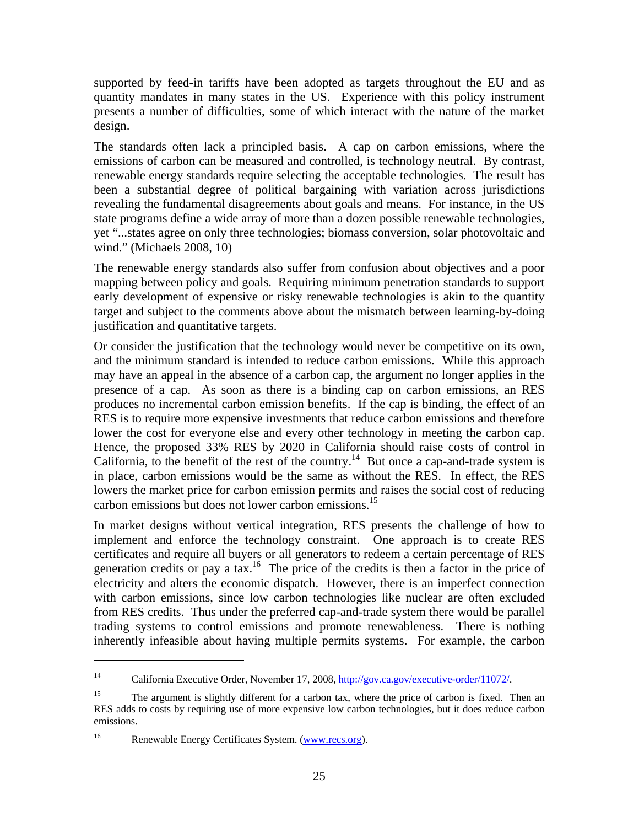supported by feed-in tariffs have been adopted as targets throughout the EU and as quantity mandates in many states in the US. Experience with this policy instrument presents a number of difficulties, some of which interact with the nature of the market design.

The standards often lack a principled basis. A cap on carbon emissions, where the emissions of carbon can be measured and controlled, is technology neutral. By contrast, renewable energy standards require selecting the acceptable technologies. The result has been a substantial degree of political bargaining with variation across jurisdictions revealing the fundamental disagreements about goals and means. For instance, in the US state programs define a wide array of more than a dozen possible renewable technologies, yet "...states agree on only three technologies; biomass conversion, solar photovoltaic and wind." (Michaels 2008, 10)

The renewable energy standards also suffer from confusion about objectives and a poor mapping between policy and goals. Requiring minimum penetration standards to support early development of expensive or risky renewable technologies is akin to the quantity target and subject to the comments above about the mismatch between learning-by-doing justification and quantitative targets.

Or consider the justification that the technology would never be competitive on its own, and the minimum standard is intended to reduce carbon emissions. While this approach may have an appeal in the absence of a carbon cap, the argument no longer applies in the presence of a cap. As soon as there is a binding cap on carbon emissions, an RES produces no incremental carbon emission benefits. If the cap is binding, the effect of an RES is to require more expensive investments that reduce carbon emissions and therefore lower the cost for everyone else and every other technology in meeting the carbon cap. Hence, the proposed 33% RES by 2020 in California should raise costs of control in California, to the benefit of the rest of the country.<sup>14</sup> But once a cap-and-trade system is in place, carbon emissions would be the same as without the RES. In effect, the RES lowers the market price for carbon emission permits and raises the social cost of reducing carbon emissions but does not lower carbon emissions.15

In market designs without vertical integration, RES presents the challenge of how to implement and enforce the technology constraint. One approach is to create RES certificates and require all buyers or all generators to redeem a certain percentage of RES generation credits or pay a tax.<sup>16</sup> The price of the credits is then a factor in the price of electricity and alters the economic dispatch. However, there is an imperfect connection with carbon emissions, since low carbon technologies like nuclear are often excluded from RES credits. Thus under the preferred cap-and-trade system there would be parallel trading systems to control emissions and promote renewableness. There is nothing inherently infeasible about having multiple permits systems. For example, the carbon

1

<sup>&</sup>lt;sup>14</sup> California Executive Order, November 17, 2008, http://gov.ca.gov/executive-order/11072/.

<sup>&</sup>lt;sup>15</sup> The argument is slightly different for a carbon tax, where the price of carbon is fixed. Then an RES adds to costs by requiring use of more expensive low carbon technologies, but it does reduce carbon emissions.

<sup>16</sup> Renewable Energy Certificates System. (www.recs.org).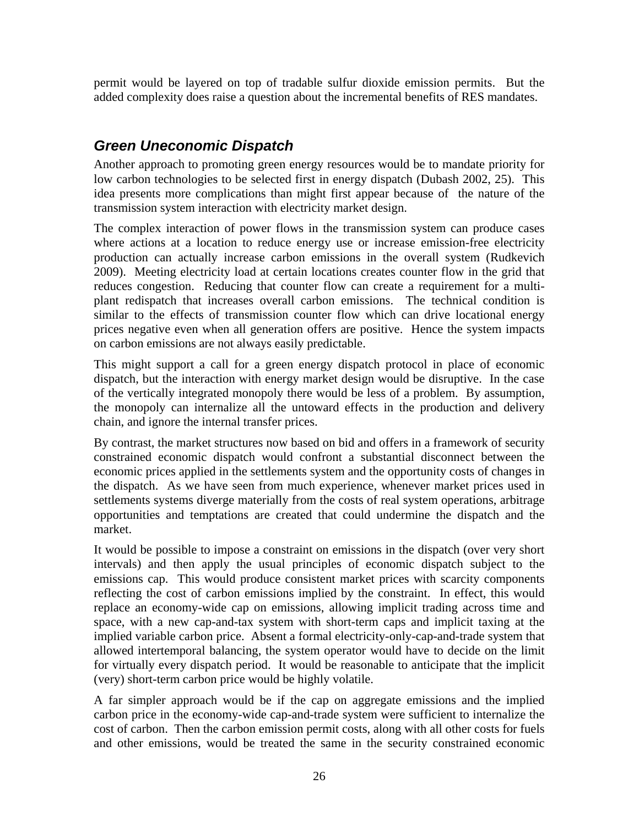permit would be layered on top of tradable sulfur dioxide emission permits. But the added complexity does raise a question about the incremental benefits of RES mandates.

## *Green Uneconomic Dispatch*

Another approach to promoting green energy resources would be to mandate priority for low carbon technologies to be selected first in energy dispatch (Dubash 2002, 25). This idea presents more complications than might first appear because of the nature of the transmission system interaction with electricity market design.

The complex interaction of power flows in the transmission system can produce cases where actions at a location to reduce energy use or increase emission-free electricity production can actually increase carbon emissions in the overall system (Rudkevich 2009). Meeting electricity load at certain locations creates counter flow in the grid that reduces congestion. Reducing that counter flow can create a requirement for a multiplant redispatch that increases overall carbon emissions. The technical condition is similar to the effects of transmission counter flow which can drive locational energy prices negative even when all generation offers are positive. Hence the system impacts on carbon emissions are not always easily predictable.

This might support a call for a green energy dispatch protocol in place of economic dispatch, but the interaction with energy market design would be disruptive. In the case of the vertically integrated monopoly there would be less of a problem. By assumption, the monopoly can internalize all the untoward effects in the production and delivery chain, and ignore the internal transfer prices.

By contrast, the market structures now based on bid and offers in a framework of security constrained economic dispatch would confront a substantial disconnect between the economic prices applied in the settlements system and the opportunity costs of changes in the dispatch. As we have seen from much experience, whenever market prices used in settlements systems diverge materially from the costs of real system operations, arbitrage opportunities and temptations are created that could undermine the dispatch and the market.

It would be possible to impose a constraint on emissions in the dispatch (over very short intervals) and then apply the usual principles of economic dispatch subject to the emissions cap. This would produce consistent market prices with scarcity components reflecting the cost of carbon emissions implied by the constraint. In effect, this would replace an economy-wide cap on emissions, allowing implicit trading across time and space, with a new cap-and-tax system with short-term caps and implicit taxing at the implied variable carbon price. Absent a formal electricity-only-cap-and-trade system that allowed intertemporal balancing, the system operator would have to decide on the limit for virtually every dispatch period. It would be reasonable to anticipate that the implicit (very) short-term carbon price would be highly volatile.

A far simpler approach would be if the cap on aggregate emissions and the implied carbon price in the economy-wide cap-and-trade system were sufficient to internalize the cost of carbon. Then the carbon emission permit costs, along with all other costs for fuels and other emissions, would be treated the same in the security constrained economic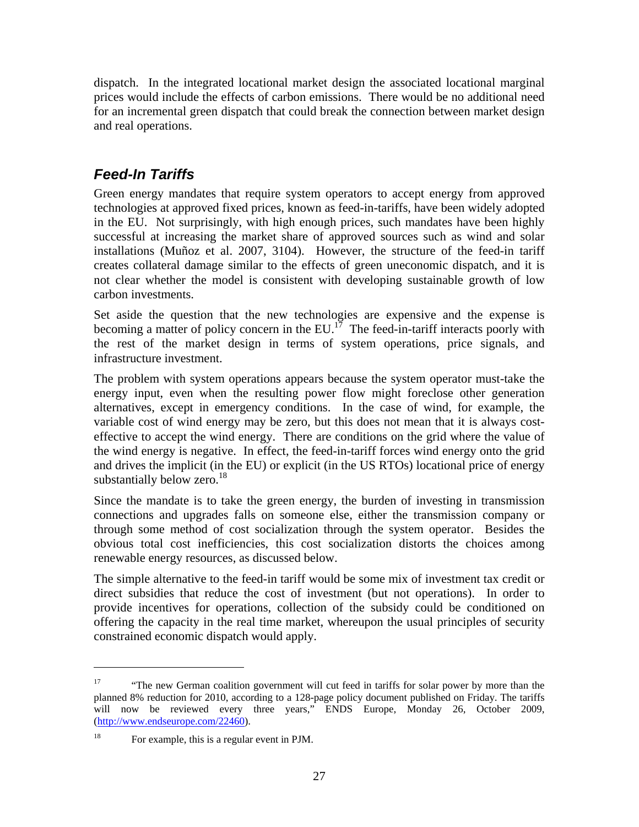dispatch. In the integrated locational market design the associated locational marginal prices would include the effects of carbon emissions. There would be no additional need for an incremental green dispatch that could break the connection between market design and real operations.

# *Feed-In Tariffs*

Green energy mandates that require system operators to accept energy from approved technologies at approved fixed prices, known as feed-in-tariffs, have been widely adopted in the EU. Not surprisingly, with high enough prices, such mandates have been highly successful at increasing the market share of approved sources such as wind and solar installations (Muñoz et al. 2007, 3104). However, the structure of the feed-in tariff creates collateral damage similar to the effects of green uneconomic dispatch, and it is not clear whether the model is consistent with developing sustainable growth of low carbon investments.

Set aside the question that the new technologies are expensive and the expense is becoming a matter of policy concern in the EU.<sup>17</sup> The feed-in-tariff interacts poorly with the rest of the market design in terms of system operations, price signals, and infrastructure investment.

The problem with system operations appears because the system operator must-take the energy input, even when the resulting power flow might foreclose other generation alternatives, except in emergency conditions. In the case of wind, for example, the variable cost of wind energy may be zero, but this does not mean that it is always costeffective to accept the wind energy. There are conditions on the grid where the value of the wind energy is negative. In effect, the feed-in-tariff forces wind energy onto the grid and drives the implicit (in the EU) or explicit (in the US RTOs) locational price of energy substantially below zero. $18$ 

Since the mandate is to take the green energy, the burden of investing in transmission connections and upgrades falls on someone else, either the transmission company or through some method of cost socialization through the system operator. Besides the obvious total cost inefficiencies, this cost socialization distorts the choices among renewable energy resources, as discussed below.

The simple alternative to the feed-in tariff would be some mix of investment tax credit or direct subsidies that reduce the cost of investment (but not operations). In order to provide incentives for operations, collection of the subsidy could be conditioned on offering the capacity in the real time market, whereupon the usual principles of security constrained economic dispatch would apply.

 $\overline{a}$ 

<sup>&</sup>lt;sup>17</sup> "The new German coalition government will cut feed in tariffs for solar power by more than the planned 8% reduction for 2010, according to a 128-page policy document published on Friday. The tariffs will now be reviewed every three years," ENDS Europe, Monday 26, October 2009, (http://www.endseurope.com/22460).

<sup>18</sup> For example, this is a regular event in PJM.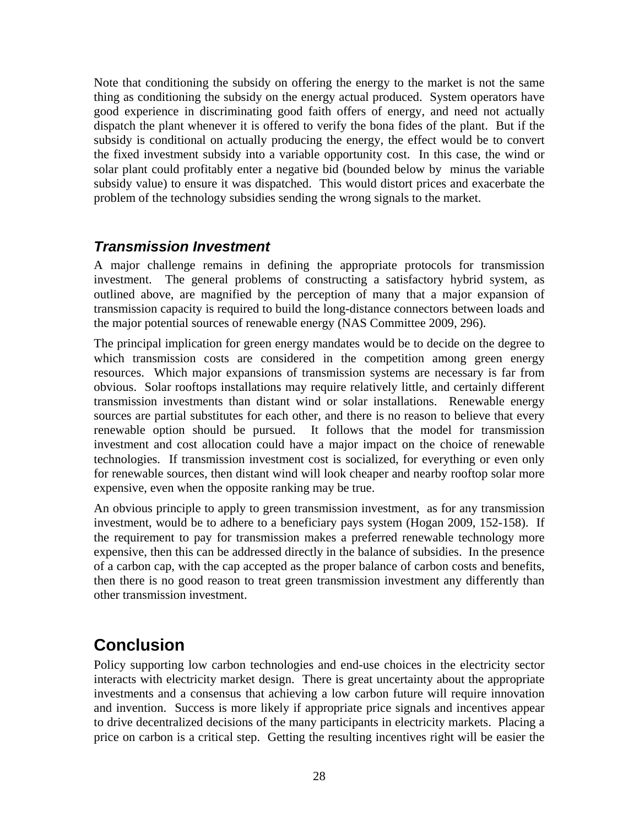Note that conditioning the subsidy on offering the energy to the market is not the same thing as conditioning the subsidy on the energy actual produced. System operators have good experience in discriminating good faith offers of energy, and need not actually dispatch the plant whenever it is offered to verify the bona fides of the plant. But if the subsidy is conditional on actually producing the energy, the effect would be to convert the fixed investment subsidy into a variable opportunity cost. In this case, the wind or solar plant could profitably enter a negative bid (bounded below by minus the variable subsidy value) to ensure it was dispatched. This would distort prices and exacerbate the problem of the technology subsidies sending the wrong signals to the market.

### *Transmission Investment*

A major challenge remains in defining the appropriate protocols for transmission investment. The general problems of constructing a satisfactory hybrid system, as outlined above, are magnified by the perception of many that a major expansion of transmission capacity is required to build the long-distance connectors between loads and the major potential sources of renewable energy (NAS Committee 2009, 296).

The principal implication for green energy mandates would be to decide on the degree to which transmission costs are considered in the competition among green energy resources. Which major expansions of transmission systems are necessary is far from obvious. Solar rooftops installations may require relatively little, and certainly different transmission investments than distant wind or solar installations. Renewable energy sources are partial substitutes for each other, and there is no reason to believe that every renewable option should be pursued. It follows that the model for transmission investment and cost allocation could have a major impact on the choice of renewable technologies. If transmission investment cost is socialized, for everything or even only for renewable sources, then distant wind will look cheaper and nearby rooftop solar more expensive, even when the opposite ranking may be true.

An obvious principle to apply to green transmission investment, as for any transmission investment, would be to adhere to a beneficiary pays system (Hogan 2009, 152-158). If the requirement to pay for transmission makes a preferred renewable technology more expensive, then this can be addressed directly in the balance of subsidies. In the presence of a carbon cap, with the cap accepted as the proper balance of carbon costs and benefits, then there is no good reason to treat green transmission investment any differently than other transmission investment.

# **Conclusion**

Policy supporting low carbon technologies and end-use choices in the electricity sector interacts with electricity market design. There is great uncertainty about the appropriate investments and a consensus that achieving a low carbon future will require innovation and invention. Success is more likely if appropriate price signals and incentives appear to drive decentralized decisions of the many participants in electricity markets. Placing a price on carbon is a critical step. Getting the resulting incentives right will be easier the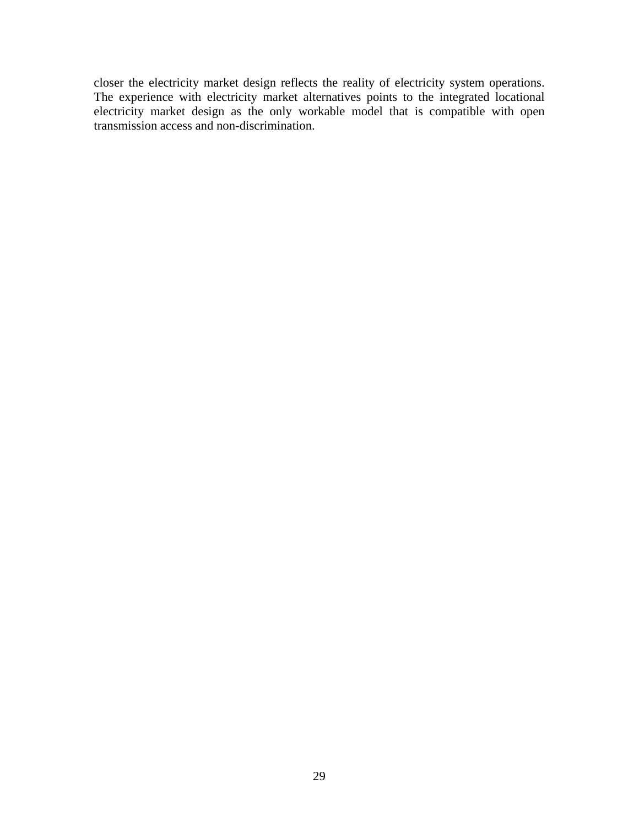closer the electricity market design reflects the reality of electricity system operations. The experience with electricity market alternatives points to the integrated locational electricity market design as the only workable model that is compatible with open transmission access and non-discrimination.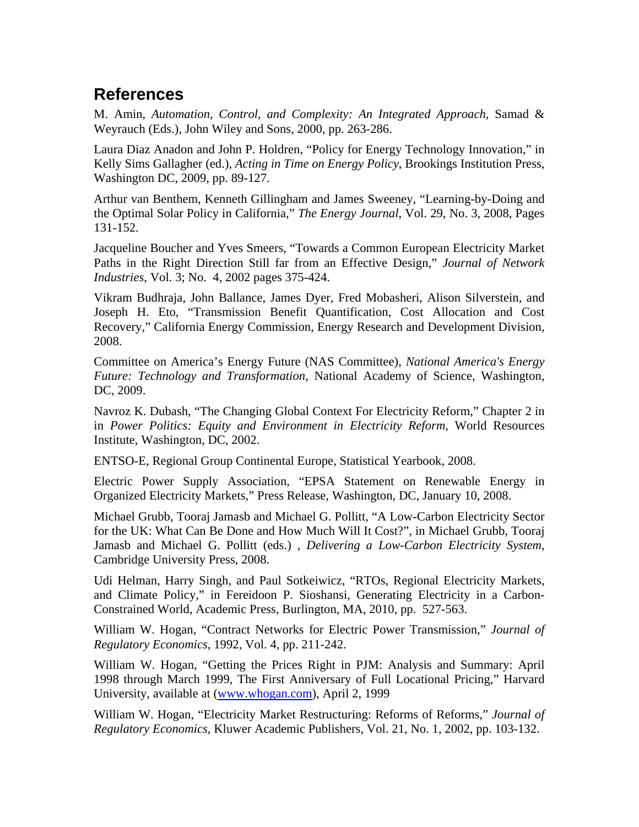# **References**

M. Amin, *Automation, Control, and Complexity: An Integrated Approach*, Samad & Weyrauch (Eds.), John Wiley and Sons, 2000, pp. 263-286.

Laura Diaz Anadon and John P. Holdren, "Policy for Energy Technology Innovation," in Kelly Sims Gallagher (ed.), *Acting in Time on Energy Policy*, Brookings Institution Press, Washington DC, 2009, pp. 89-127.

Arthur van Benthem, Kenneth Gillingham and James Sweeney, "Learning-by-Doing and the Optimal Solar Policy in California," *The Energy Journal*, Vol. 29, No. 3, 2008, Pages 131-152.

Jacqueline Boucher and Yves Smeers, "Towards a Common European Electricity Market Paths in the Right Direction Still far from an Effective Design," *Journal of Network Industries*, Vol. 3; No. 4, 2002 pages 375-424.

Vikram Budhraja, John Ballance, James Dyer, Fred Mobasheri, Alison Silverstein, and Joseph H. Eto, "Transmission Benefit Quantification, Cost Allocation and Cost Recovery," California Energy Commission, Energy Research and Development Division, 2008.

Committee on America's Energy Future (NAS Committee), *National America's Energy Future: Technology and Transformation*, National Academy of Science, Washington, DC, 2009.

Navroz K. Dubash, "The Changing Global Context For Electricity Reform," Chapter 2 in in *Power Politics: Equity and Environment in Electricity Reform*, World Resources Institute, Washington, DC, 2002.

ENTSO-E, Regional Group Continental Europe, Statistical Yearbook, 2008.

Electric Power Supply Association, "EPSA Statement on Renewable Energy in Organized Electricity Markets," Press Release, Washington, DC, January 10, 2008.

Michael Grubb, Tooraj Jamasb and Michael G. Pollitt, "A Low-Carbon Electricity Sector for the UK: What Can Be Done and How Much Will It Cost?", in Michael Grubb, Tooraj Jamasb and Michael G. Pollitt (eds.) , *Delivering a Low-Carbon Electricity System,* Cambridge University Press, 2008.

Udi Helman, Harry Singh, and Paul Sotkeiwicz, "RTOs, Regional Electricity Markets, and Climate Policy," in Fereidoon P. Sioshansi, Generating Electricity in a Carbon-Constrained World, Academic Press, Burlington, MA, 2010, pp. 527-563.

William W. Hogan, "Contract Networks for Electric Power Transmission," *Journal of Regulatory Economics*, 1992, Vol. 4, pp. 211-242.

William W. Hogan, "Getting the Prices Right in PJM: Analysis and Summary: April 1998 through March 1999, The First Anniversary of Full Locational Pricing," Harvard University, available at (www.whogan.com), April 2, 1999

William W. Hogan, "Electricity Market Restructuring: Reforms of Reforms," *Journal of Regulatory Economics*, Kluwer Academic Publishers, Vol. 21, No. 1, 2002, pp. 103-132.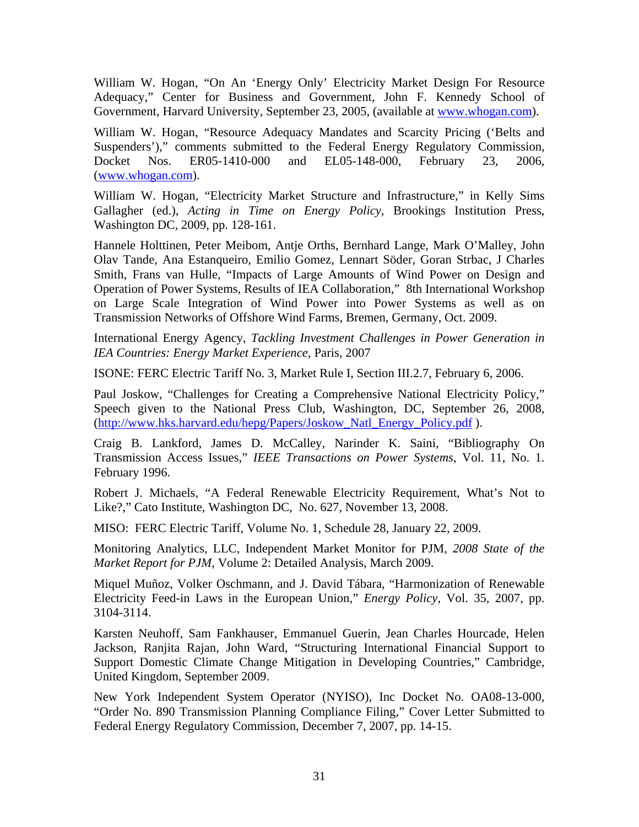William W. Hogan, "On An 'Energy Only' Electricity Market Design For Resource Adequacy," Center for Business and Government, John F. Kennedy School of Government, Harvard University, September 23, 2005, (available at www.whogan.com).

William W. Hogan, "Resource Adequacy Mandates and Scarcity Pricing ('Belts and Suspenders')," comments submitted to the Federal Energy Regulatory Commission, Docket Nos. ER05-1410-000 and EL05-148-000, February 23, 2006, (www.whogan.com).

William W. Hogan, "Electricity Market Structure and Infrastructure," in Kelly Sims Gallagher (ed.), *Acting in Time on Energy Policy*, Brookings Institution Press, Washington DC, 2009, pp. 128-161.

Hannele Holttinen, Peter Meibom, Antje Orths, Bernhard Lange, Mark O'Malley, John Olav Tande, Ana Estanqueiro, Emilio Gomez, Lennart Söder, Goran Strbac, J Charles Smith, Frans van Hulle, "Impacts of Large Amounts of Wind Power on Design and Operation of Power Systems, Results of IEA Collaboration," 8th International Workshop on Large Scale Integration of Wind Power into Power Systems as well as on Transmission Networks of Offshore Wind Farms, Bremen, Germany, Oct. 2009.

International Energy Agency, *Tackling Investment Challenges in Power Generation in IEA Countries: Energy Market Experience*, Paris, 2007

ISONE: FERC Electric Tariff No. 3, Market Rule I, Section III.2.7, February 6, 2006.

Paul Joskow, "Challenges for Creating a Comprehensive National Electricity Policy," Speech given to the National Press Club, Washington, DC, September 26, 2008, (http://www.hks.harvard.edu/hepg/Papers/Joskow\_Natl\_Energy\_Policy.pdf ).

Craig B. Lankford, James D. McCalley, Narinder K. Saini, "Bibliography On Transmission Access Issues," *IEEE Transactions on Power Systems*, Vol. 11, No. 1. February 1996.

Robert J. Michaels, "A Federal Renewable Electricity Requirement, What's Not to Like?," Cato Institute, Washington DC, No. 627, November 13, 2008.

MISO: FERC Electric Tariff, Volume No. 1, Schedule 28, January 22, 2009.

Monitoring Analytics, LLC, Independent Market Monitor for PJM, *2008 State of the Market Report for PJM*, Volume 2: Detailed Analysis, March 2009.

Miquel Muñoz, Volker Oschmann, and J. David Tábara, "Harmonization of Renewable Electricity Feed-in Laws in the European Union," *Energy Policy*, Vol. 35, 2007, pp. 3104-3114.

Karsten Neuhoff, Sam Fankhauser, Emmanuel Guerin, Jean Charles Hourcade, Helen Jackson, Ranjita Rajan, John Ward, "Structuring International Financial Support to Support Domestic Climate Change Mitigation in Developing Countries," Cambridge, United Kingdom, September 2009.

New York Independent System Operator (NYISO), Inc Docket No. OA08-13-000, "Order No. 890 Transmission Planning Compliance Filing," Cover Letter Submitted to Federal Energy Regulatory Commission, December 7, 2007, pp. 14-15.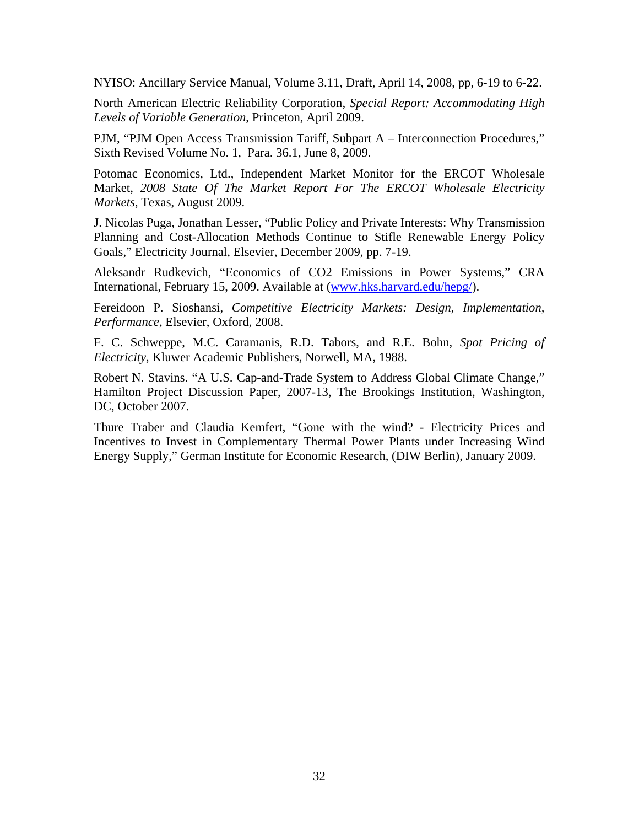NYISO: Ancillary Service Manual, Volume 3.11, Draft, April 14, 2008, pp, 6-19 to 6-22.

North American Electric Reliability Corporation, *Special Report: Accommodating High Levels of Variable Generation*, Princeton, April 2009.

PJM, "PJM Open Access Transmission Tariff, Subpart A – Interconnection Procedures," Sixth Revised Volume No. 1, Para. 36.1, June 8, 2009.

Potomac Economics, Ltd., Independent Market Monitor for the ERCOT Wholesale Market, *2008 State Of The Market Report For The ERCOT Wholesale Electricity Markets*, Texas, August 2009.

J. Nicolas Puga, Jonathan Lesser, "Public Policy and Private Interests: Why Transmission Planning and Cost-Allocation Methods Continue to Stifle Renewable Energy Policy Goals," Electricity Journal, Elsevier, December 2009, pp. 7-19.

Aleksandr Rudkevich, "Economics of CO2 Emissions in Power Systems," CRA International, February 15, 2009. Available at (www.hks.harvard.edu/hepg/).

Fereidoon P. Sioshansi, *Competitive Electricity Markets: Design, Implementation, Performance*, Elsevier, Oxford, 2008.

F. C. Schweppe, M.C. Caramanis, R.D. Tabors, and R.E. Bohn, *Spot Pricing of Electricity*, Kluwer Academic Publishers, Norwell, MA, 1988.

Robert N. Stavins. "A U.S. Cap-and-Trade System to Address Global Climate Change," Hamilton Project Discussion Paper, 2007-13, The Brookings Institution, Washington, DC, October 2007.

Thure Traber and Claudia Kemfert, "Gone with the wind? - Electricity Prices and Incentives to Invest in Complementary Thermal Power Plants under Increasing Wind Energy Supply," German Institute for Economic Research, (DIW Berlin), January 2009.